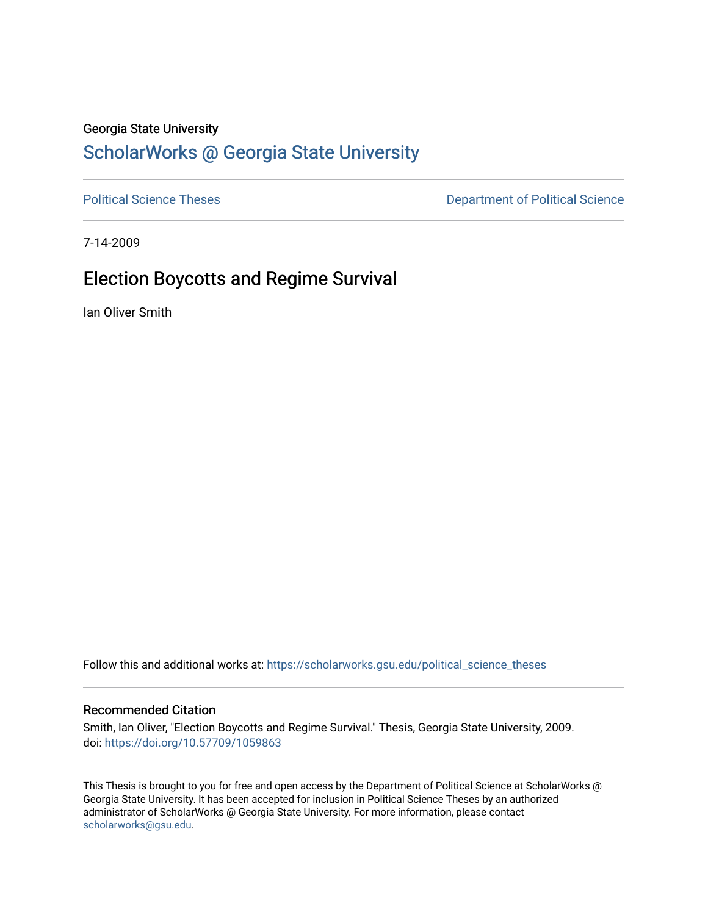## Georgia State University

# [ScholarWorks @ Georgia State University](https://scholarworks.gsu.edu/)

[Political Science Theses](https://scholarworks.gsu.edu/political_science_theses) **Department of Political Science** 

7-14-2009

# Election Boycotts and Regime Survival

Ian Oliver Smith

Follow this and additional works at: [https://scholarworks.gsu.edu/political\\_science\\_theses](https://scholarworks.gsu.edu/political_science_theses?utm_source=scholarworks.gsu.edu%2Fpolitical_science_theses%2F26&utm_medium=PDF&utm_campaign=PDFCoverPages) 

#### Recommended Citation

Smith, Ian Oliver, "Election Boycotts and Regime Survival." Thesis, Georgia State University, 2009. doi: <https://doi.org/10.57709/1059863>

This Thesis is brought to you for free and open access by the Department of Political Science at ScholarWorks @ Georgia State University. It has been accepted for inclusion in Political Science Theses by an authorized administrator of ScholarWorks @ Georgia State University. For more information, please contact [scholarworks@gsu.edu.](mailto:scholarworks@gsu.edu)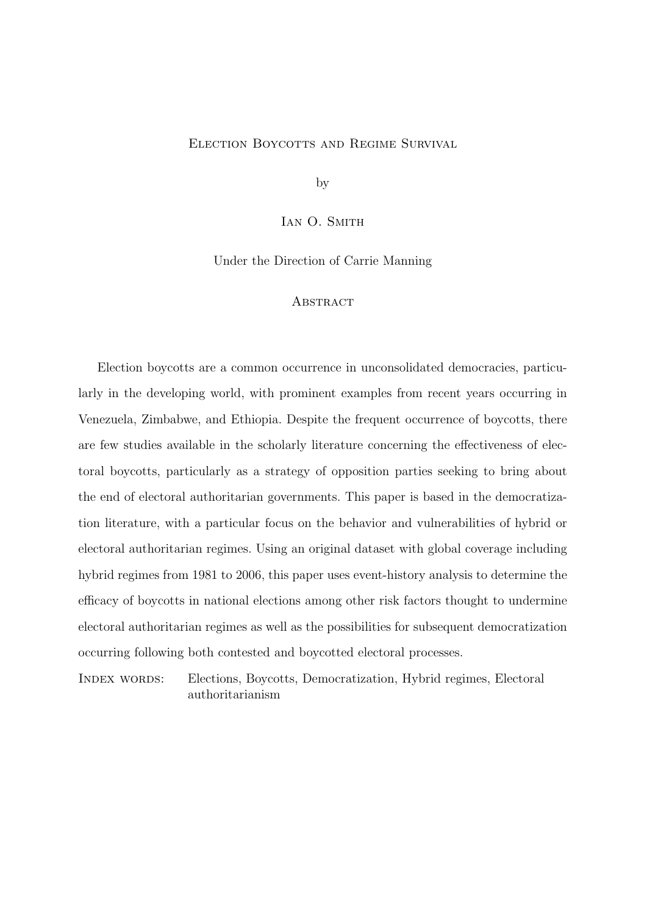## ELECTION BOYCOTTS AND REGIME SURVIVAL

by

IAN O. SMITH

Under the Direction of Carrie Manning

#### **ABSTRACT**

Election boycotts are a common occurrence in unconsolidated democracies, particularly in the developing world, with prominent examples from recent years occurring in Venezuela, Zimbabwe, and Ethiopia. Despite the frequent occurrence of boycotts, there are few studies available in the scholarly literature concerning the effectiveness of electoral boycotts, particularly as a strategy of opposition parties seeking to bring about the end of electoral authoritarian governments. This paper is based in the democratization literature, with a particular focus on the behavior and vulnerabilities of hybrid or electoral authoritarian regimes. Using an original dataset with global coverage including hybrid regimes from 1981 to 2006, this paper uses event-history analysis to determine the efficacy of boycotts in national elections among other risk factors thought to undermine electoral authoritarian regimes as well as the possibilities for subsequent democratization occurring following both contested and boycotted electoral processes.

Index words: Elections, Boycotts, Democratization, Hybrid regimes, Electoral authoritarianism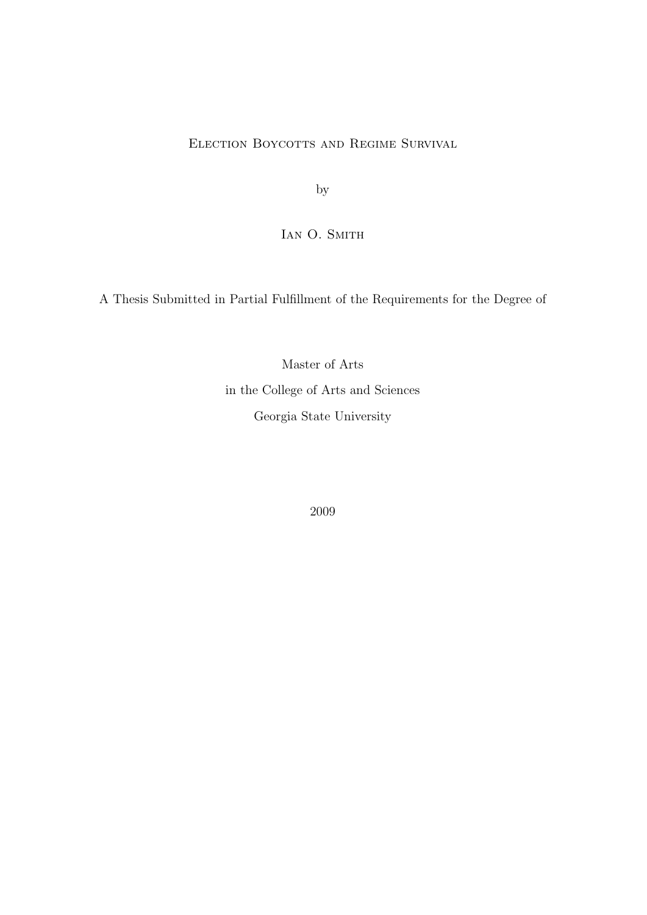ELECTION BOYCOTTS AND REGIME SURVIVAL

by

IAN O. SMITH

A Thesis Submitted in Partial Fulfillment of the Requirements for the Degree of

Master of Arts in the College of Arts and Sciences Georgia State University

2009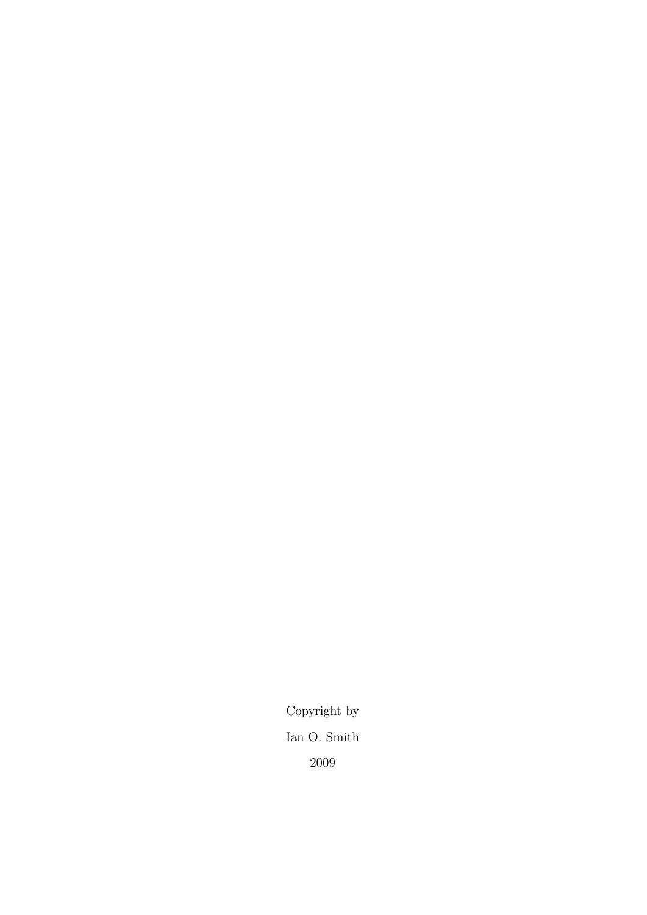Copyright by Ian O. Smith 2009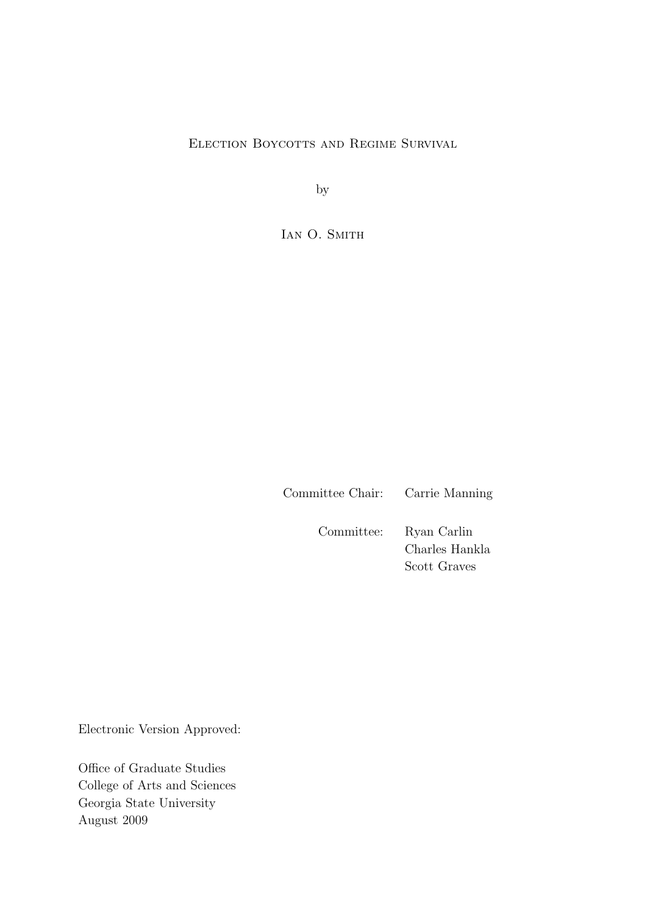ELECTION BOYCOTTS AND REGIME SURVIVAL

by

IAN O. SMITH

Committee Chair: Carrie Manning

Committee: Ryan Carlin Charles Hankla Scott Graves

Electronic Version Approved:

Office of Graduate Studies College of Arts and Sciences Georgia State University August 2009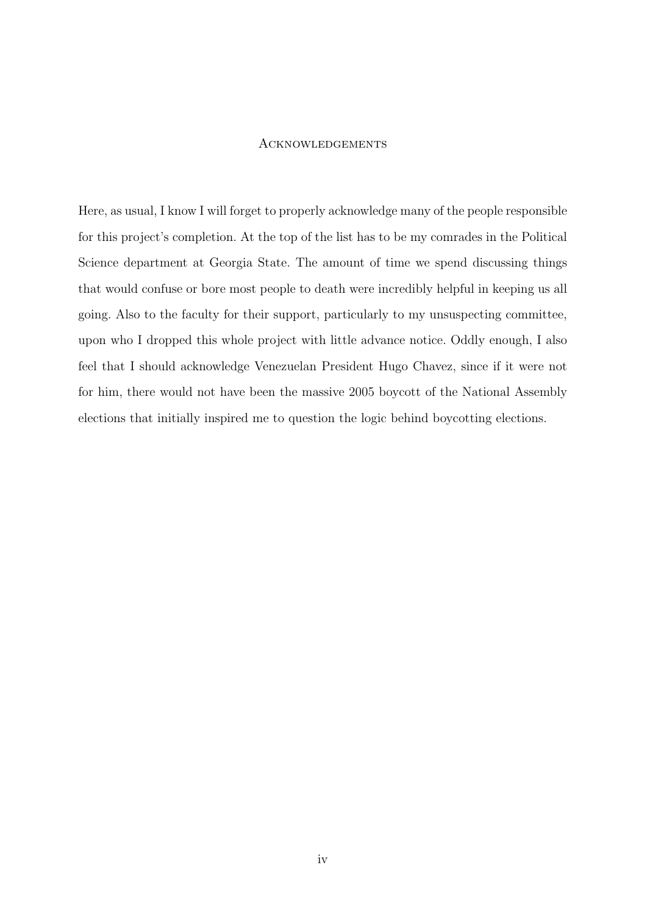## **ACKNOWLEDGEMENTS**

Here, as usual, I know I will forget to properly acknowledge many of the people responsible for this project's completion. At the top of the list has to be my comrades in the Political Science department at Georgia State. The amount of time we spend discussing things that would confuse or bore most people to death were incredibly helpful in keeping us all going. Also to the faculty for their support, particularly to my unsuspecting committee, upon who I dropped this whole project with little advance notice. Oddly enough, I also feel that I should acknowledge Venezuelan President Hugo Chavez, since if it were not for him, there would not have been the massive 2005 boycott of the National Assembly elections that initially inspired me to question the logic behind boycotting elections.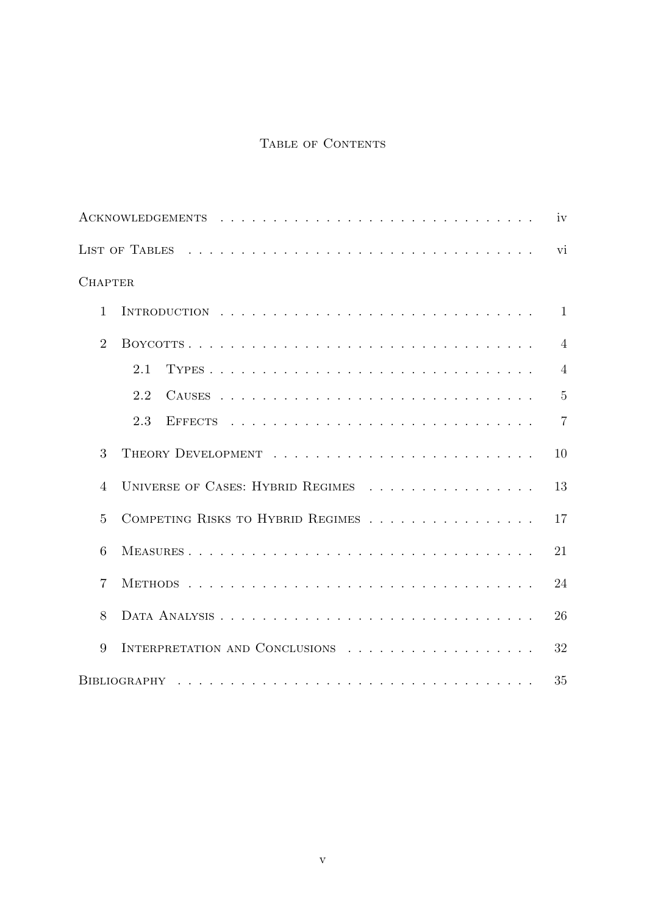## TABLE OF CONTENTS

|                |                                                                        | iv             |
|----------------|------------------------------------------------------------------------|----------------|
|                |                                                                        | vi             |
| <b>CHAPTER</b> |                                                                        |                |
| $\mathbf{1}$   |                                                                        | $\mathbf{1}$   |
| $\overline{2}$ |                                                                        | $\overline{4}$ |
|                | 2.1                                                                    | $\overline{4}$ |
|                | 2.2                                                                    | $\overline{5}$ |
|                | 2.3                                                                    | $\overline{7}$ |
| 3              |                                                                        | 10             |
| $\overline{4}$ | UNIVERSE OF CASES: HYBRID REGIMES $\ldots \ldots \ldots \ldots \ldots$ | 13             |
| 5              | COMPETING RISKS TO HYBRID REGIMES                                      | 17             |
| 6              |                                                                        | 21             |
| $\overline{7}$ |                                                                        | 24             |
| 8              |                                                                        | 26             |
| 9              | INTERPRETATION AND CONCLUSIONS                                         | 32             |
|                |                                                                        | 35             |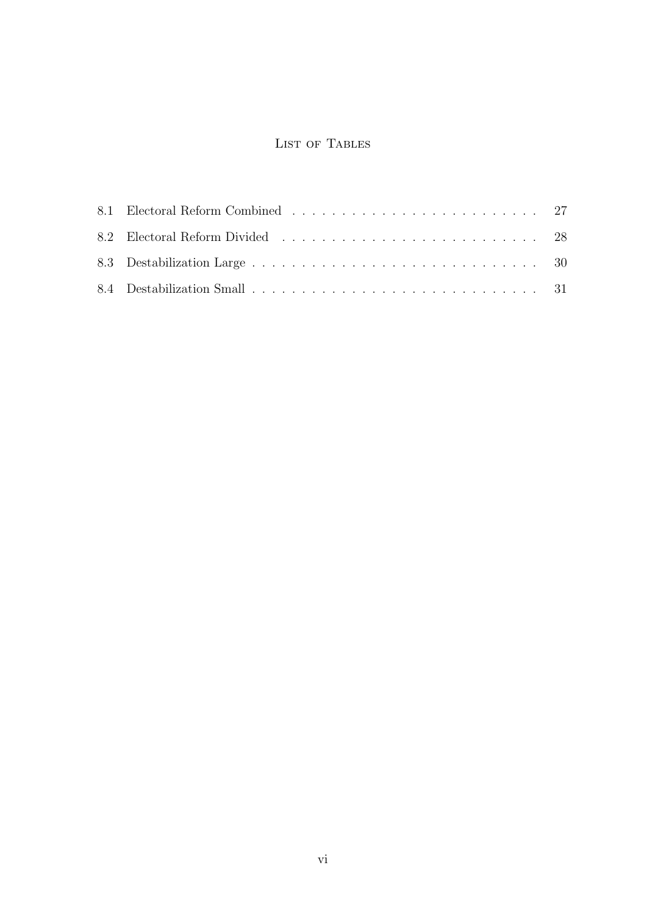## LIST OF TABLES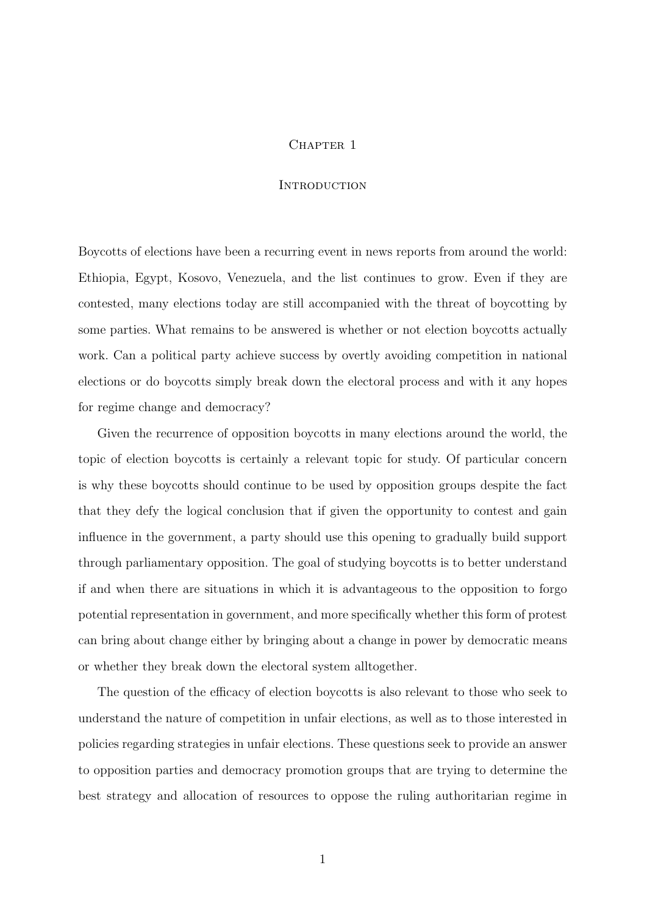## CHAPTER 1

## **INTRODUCTION**

Boycotts of elections have been a recurring event in news reports from around the world: Ethiopia, Egypt, Kosovo, Venezuela, and the list continues to grow. Even if they are contested, many elections today are still accompanied with the threat of boycotting by some parties. What remains to be answered is whether or not election boycotts actually work. Can a political party achieve success by overtly avoiding competition in national elections or do boycotts simply break down the electoral process and with it any hopes for regime change and democracy?

Given the recurrence of opposition boycotts in many elections around the world, the topic of election boycotts is certainly a relevant topic for study. Of particular concern is why these boycotts should continue to be used by opposition groups despite the fact that they defy the logical conclusion that if given the opportunity to contest and gain influence in the government, a party should use this opening to gradually build support through parliamentary opposition. The goal of studying boycotts is to better understand if and when there are situations in which it is advantageous to the opposition to forgo potential representation in government, and more specifically whether this form of protest can bring about change either by bringing about a change in power by democratic means or whether they break down the electoral system alltogether.

The question of the efficacy of election boycotts is also relevant to those who seek to understand the nature of competition in unfair elections, as well as to those interested in policies regarding strategies in unfair elections. These questions seek to provide an answer to opposition parties and democracy promotion groups that are trying to determine the best strategy and allocation of resources to oppose the ruling authoritarian regime in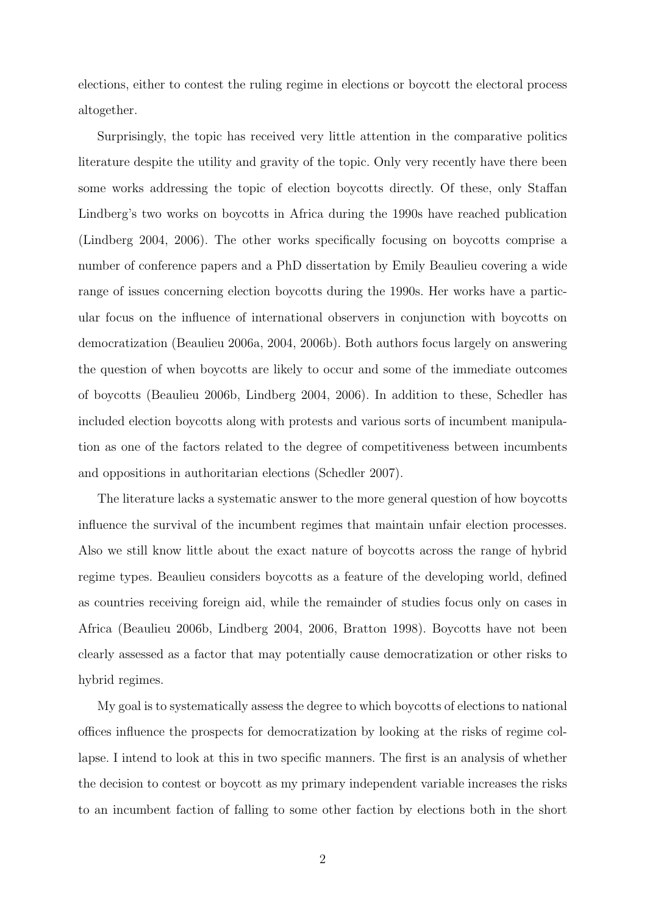elections, either to contest the ruling regime in elections or boycott the electoral process altogether.

Surprisingly, the topic has received very little attention in the comparative politics literature despite the utility and gravity of the topic. Only very recently have there been some works addressing the topic of election boycotts directly. Of these, only Staffan Lindberg's two works on boycotts in Africa during the 1990s have reached publication (Lindberg 2004, 2006). The other works specifically focusing on boycotts comprise a number of conference papers and a PhD dissertation by Emily Beaulieu covering a wide range of issues concerning election boycotts during the 1990s. Her works have a particular focus on the influence of international observers in conjunction with boycotts on democratization (Beaulieu 2006a, 2004, 2006b). Both authors focus largely on answering the question of when boycotts are likely to occur and some of the immediate outcomes of boycotts (Beaulieu 2006b, Lindberg 2004, 2006). In addition to these, Schedler has included election boycotts along with protests and various sorts of incumbent manipulation as one of the factors related to the degree of competitiveness between incumbents and oppositions in authoritarian elections (Schedler 2007).

The literature lacks a systematic answer to the more general question of how boycotts influence the survival of the incumbent regimes that maintain unfair election processes. Also we still know little about the exact nature of boycotts across the range of hybrid regime types. Beaulieu considers boycotts as a feature of the developing world, defined as countries receiving foreign aid, while the remainder of studies focus only on cases in Africa (Beaulieu 2006b, Lindberg 2004, 2006, Bratton 1998). Boycotts have not been clearly assessed as a factor that may potentially cause democratization or other risks to hybrid regimes.

My goal is to systematically assess the degree to which boycotts of elections to national offices influence the prospects for democratization by looking at the risks of regime collapse. I intend to look at this in two specific manners. The first is an analysis of whether the decision to contest or boycott as my primary independent variable increases the risks to an incumbent faction of falling to some other faction by elections both in the short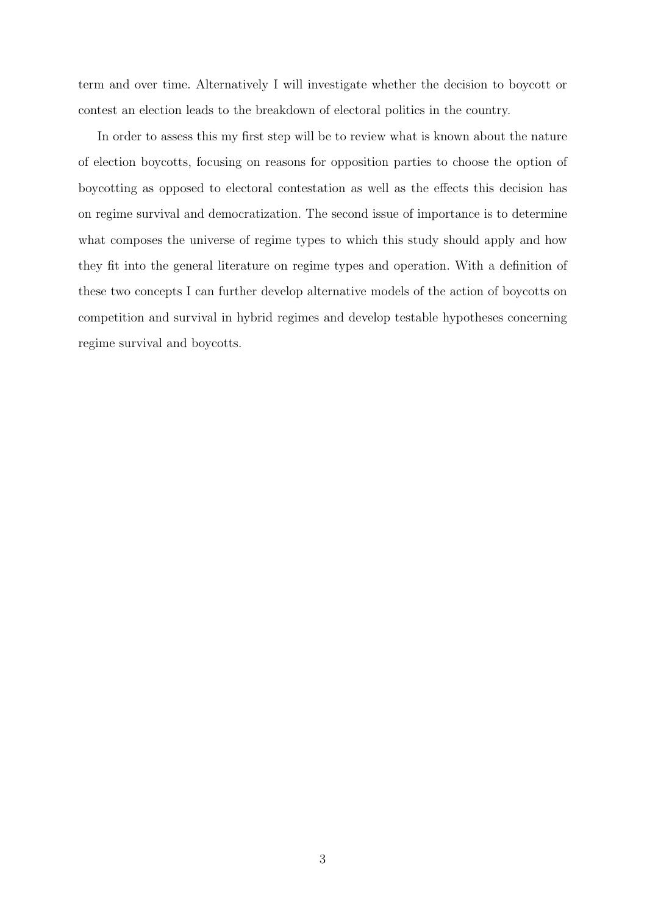term and over time. Alternatively I will investigate whether the decision to boycott or contest an election leads to the breakdown of electoral politics in the country.

In order to assess this my first step will be to review what is known about the nature of election boycotts, focusing on reasons for opposition parties to choose the option of boycotting as opposed to electoral contestation as well as the effects this decision has on regime survival and democratization. The second issue of importance is to determine what composes the universe of regime types to which this study should apply and how they fit into the general literature on regime types and operation. With a definition of these two concepts I can further develop alternative models of the action of boycotts on competition and survival in hybrid regimes and develop testable hypotheses concerning regime survival and boycotts.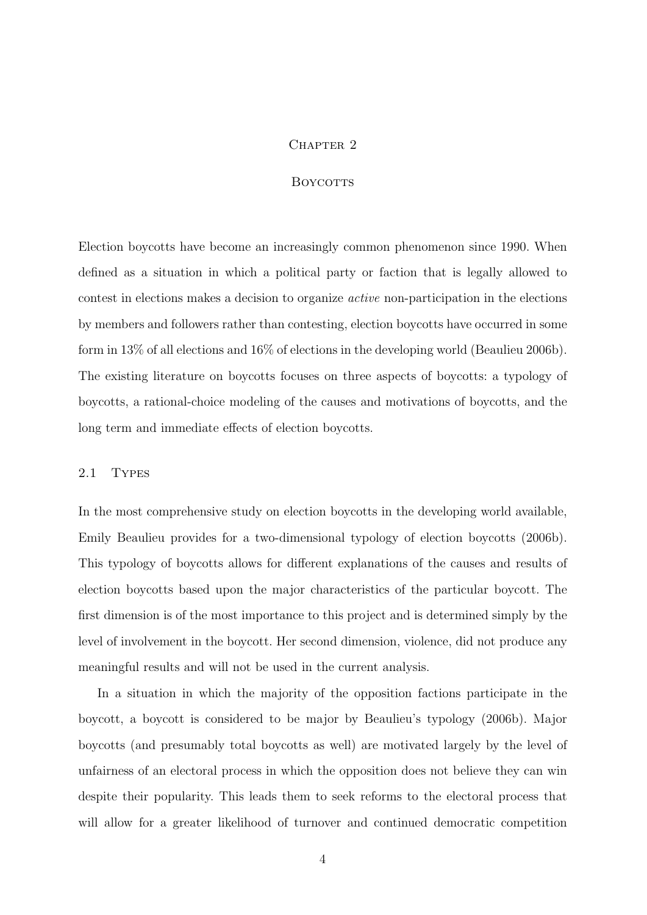#### CHAPTER<sub>2</sub>

## **BOYCOTTS**

Election boycotts have become an increasingly common phenomenon since 1990. When defined as a situation in which a political party or faction that is legally allowed to contest in elections makes a decision to organize active non-participation in the elections by members and followers rather than contesting, election boycotts have occurred in some form in 13% of all elections and 16% of elections in the developing world (Beaulieu 2006b). The existing literature on boycotts focuses on three aspects of boycotts: a typology of boycotts, a rational-choice modeling of the causes and motivations of boycotts, and the long term and immediate effects of election boycotts.

## 2.1 Types

In the most comprehensive study on election boycotts in the developing world available, Emily Beaulieu provides for a two-dimensional typology of election boycotts (2006b). This typology of boycotts allows for different explanations of the causes and results of election boycotts based upon the major characteristics of the particular boycott. The first dimension is of the most importance to this project and is determined simply by the level of involvement in the boycott. Her second dimension, violence, did not produce any meaningful results and will not be used in the current analysis.

In a situation in which the majority of the opposition factions participate in the boycott, a boycott is considered to be major by Beaulieu's typology (2006b). Major boycotts (and presumably total boycotts as well) are motivated largely by the level of unfairness of an electoral process in which the opposition does not believe they can win despite their popularity. This leads them to seek reforms to the electoral process that will allow for a greater likelihood of turnover and continued democratic competition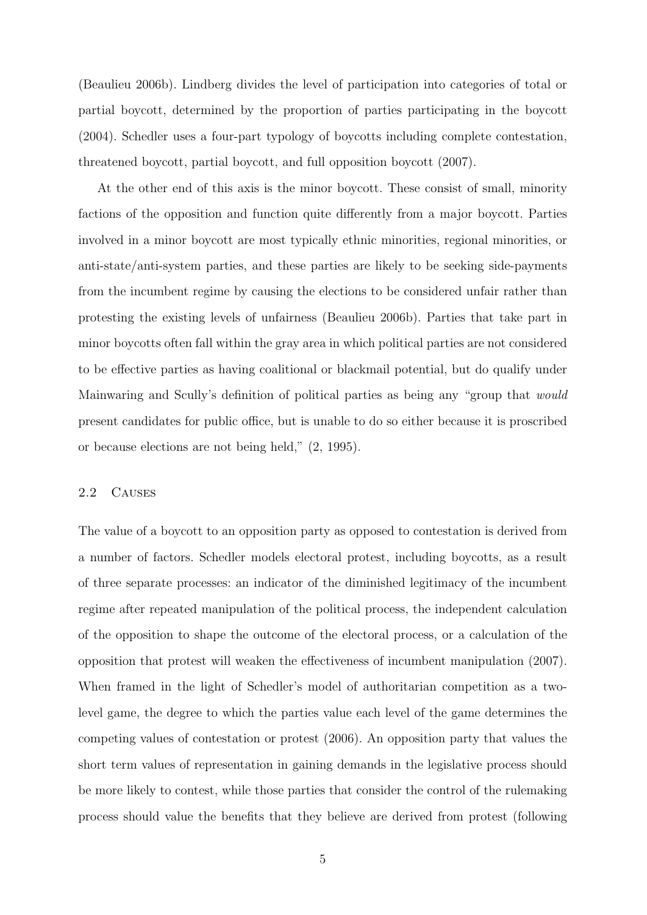(Beaulieu 2006b). Lindberg divides the level of participation into categories of total or partial boycott, determined by the proportion of parties participating in the boycott (2004). Schedler uses a four-part typology of boycotts including complete contestation, threatened boycott, partial boycott, and full opposition boycott (2007).

At the other end of this axis is the minor boycott. These consist of small, minority factions of the opposition and function quite differently from a major boycott. Parties involved in a minor boycott are most typically ethnic minorities, regional minorities, or anti-state/anti-system parties, and these parties are likely to be seeking side-payments from the incumbent regime by causing the elections to be considered unfair rather than protesting the existing levels of unfairness (Beaulieu 2006b). Parties that take part in minor boycotts often fall within the gray area in which political parties are not considered to be effective parties as having coalitional or blackmail potential, but do qualify under Mainwaring and Scully's definition of political parties as being any "group that would present candidates for public office, but is unable to do so either because it is proscribed or because elections are not being held," (2, 1995).

## 2.2 Causes

The value of a boycott to an opposition party as opposed to contestation is derived from a number of factors. Schedler models electoral protest, including boycotts, as a result of three separate processes: an indicator of the diminished legitimacy of the incumbent regime after repeated manipulation of the political process, the independent calculation of the opposition to shape the outcome of the electoral process, or a calculation of the opposition that protest will weaken the effectiveness of incumbent manipulation (2007). When framed in the light of Schedler's model of authoritarian competition as a twolevel game, the degree to which the parties value each level of the game determines the competing values of contestation or protest (2006). An opposition party that values the short term values of representation in gaining demands in the legislative process should be more likely to contest, while those parties that consider the control of the rulemaking process should value the benefits that they believe are derived from protest (following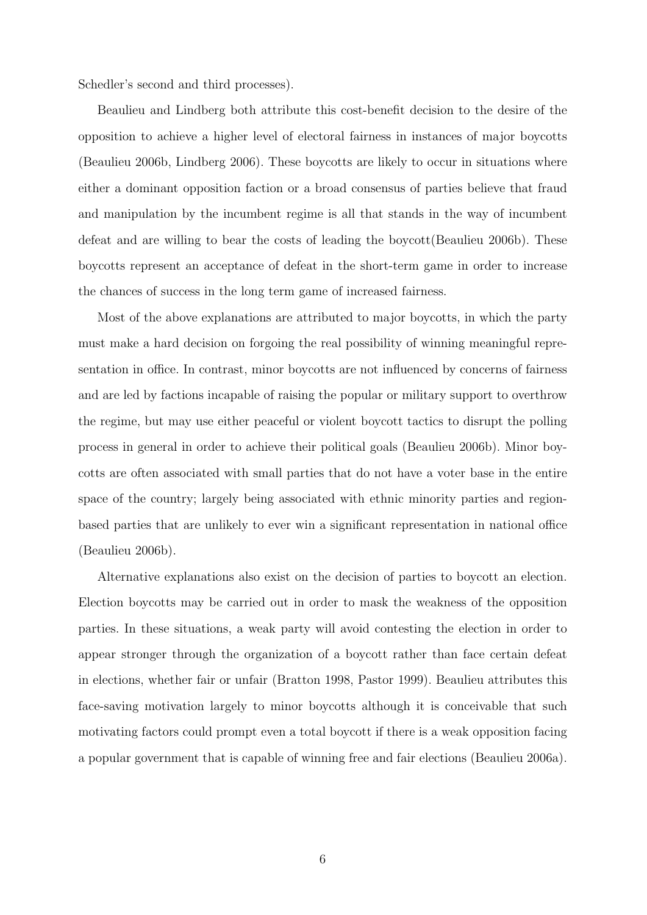Schedler's second and third processes).

Beaulieu and Lindberg both attribute this cost-benefit decision to the desire of the opposition to achieve a higher level of electoral fairness in instances of major boycotts (Beaulieu 2006b, Lindberg 2006). These boycotts are likely to occur in situations where either a dominant opposition faction or a broad consensus of parties believe that fraud and manipulation by the incumbent regime is all that stands in the way of incumbent defeat and are willing to bear the costs of leading the boycott(Beaulieu 2006b). These boycotts represent an acceptance of defeat in the short-term game in order to increase the chances of success in the long term game of increased fairness.

Most of the above explanations are attributed to major boycotts, in which the party must make a hard decision on forgoing the real possibility of winning meaningful representation in office. In contrast, minor boycotts are not influenced by concerns of fairness and are led by factions incapable of raising the popular or military support to overthrow the regime, but may use either peaceful or violent boycott tactics to disrupt the polling process in general in order to achieve their political goals (Beaulieu 2006b). Minor boycotts are often associated with small parties that do not have a voter base in the entire space of the country; largely being associated with ethnic minority parties and regionbased parties that are unlikely to ever win a significant representation in national office (Beaulieu 2006b).

Alternative explanations also exist on the decision of parties to boycott an election. Election boycotts may be carried out in order to mask the weakness of the opposition parties. In these situations, a weak party will avoid contesting the election in order to appear stronger through the organization of a boycott rather than face certain defeat in elections, whether fair or unfair (Bratton 1998, Pastor 1999). Beaulieu attributes this face-saving motivation largely to minor boycotts although it is conceivable that such motivating factors could prompt even a total boycott if there is a weak opposition facing a popular government that is capable of winning free and fair elections (Beaulieu 2006a).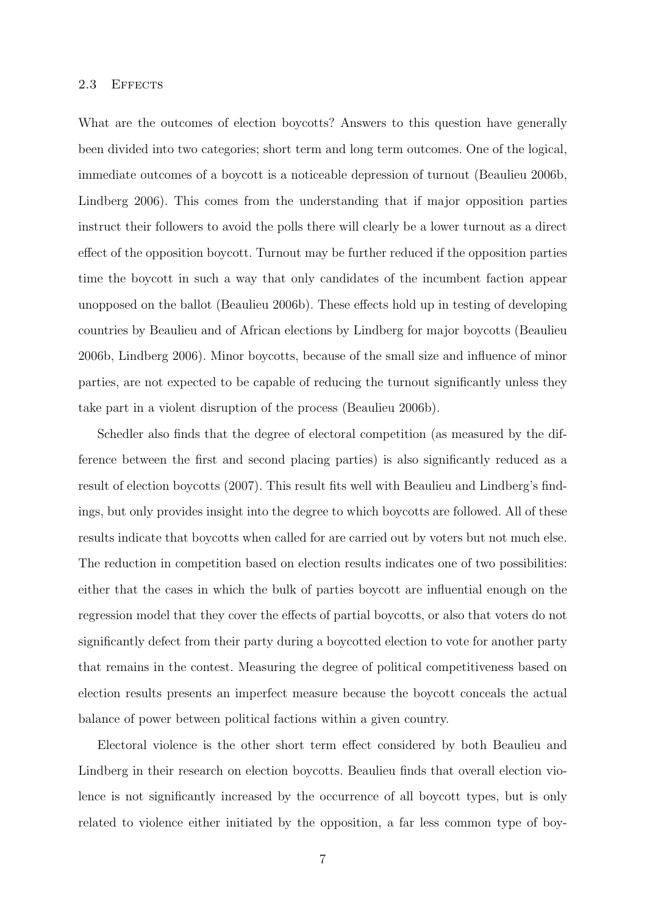#### 2.3 EFFECTS

What are the outcomes of election boycotts? Answers to this question have generally been divided into two categories; short term and long term outcomes. One of the logical, immediate outcomes of a boycott is a noticeable depression of turnout (Beaulieu 2006b, Lindberg 2006). This comes from the understanding that if major opposition parties instruct their followers to avoid the polls there will clearly be a lower turnout as a direct effect of the opposition boycott. Turnout may be further reduced if the opposition parties time the boycott in such a way that only candidates of the incumbent faction appear unopposed on the ballot (Beaulieu 2006b). These effects hold up in testing of developing countries by Beaulieu and of African elections by Lindberg for major boycotts (Beaulieu 2006b, Lindberg 2006). Minor boycotts, because of the small size and influence of minor parties, are not expected to be capable of reducing the turnout significantly unless they take part in a violent disruption of the process (Beaulieu 2006b).

Schedler also finds that the degree of electoral competition (as measured by the difference between the first and second placing parties) is also significantly reduced as a result of election boycotts (2007). This result fits well with Beaulieu and Lindberg's findings, but only provides insight into the degree to which boycotts are followed. All of these results indicate that boycotts when called for are carried out by voters but not much else. The reduction in competition based on election results indicates one of two possibilities: either that the cases in which the bulk of parties boycott are influential enough on the regression model that they cover the effects of partial boycotts, or also that voters do not significantly defect from their party during a boycotted election to vote for another party that remains in the contest. Measuring the degree of political competitiveness based on election results presents an imperfect measure because the boycott conceals the actual balance of power between political factions within a given country.

Electoral violence is the other short term effect considered by both Beaulieu and Lindberg in their research on election boycotts. Beaulieu finds that overall election violence is not significantly increased by the occurrence of all boycott types, but is only related to violence either initiated by the opposition, a far less common type of boy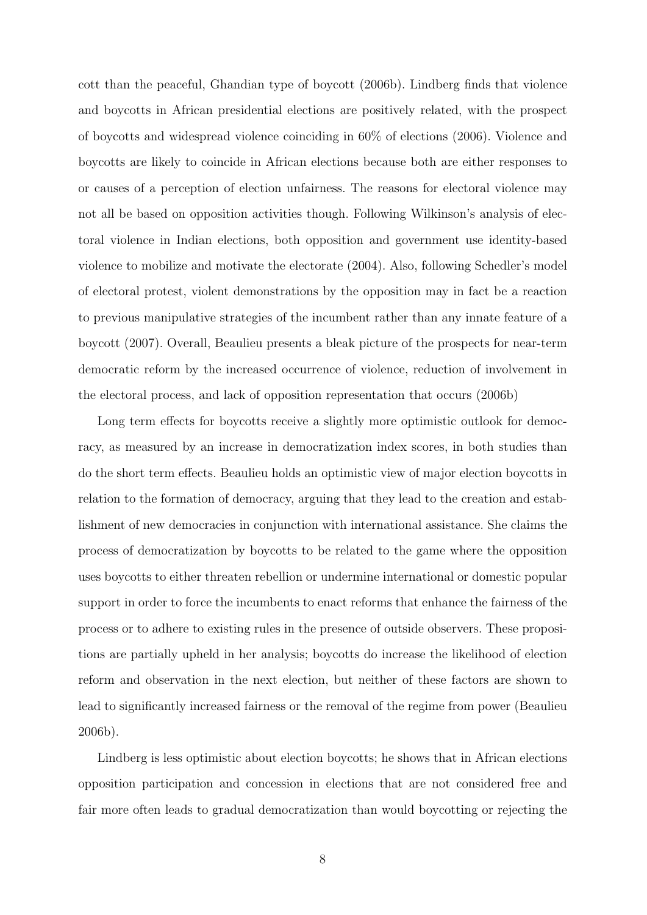cott than the peaceful, Ghandian type of boycott (2006b). Lindberg finds that violence and boycotts in African presidential elections are positively related, with the prospect of boycotts and widespread violence coinciding in 60% of elections (2006). Violence and boycotts are likely to coincide in African elections because both are either responses to or causes of a perception of election unfairness. The reasons for electoral violence may not all be based on opposition activities though. Following Wilkinson's analysis of electoral violence in Indian elections, both opposition and government use identity-based violence to mobilize and motivate the electorate (2004). Also, following Schedler's model of electoral protest, violent demonstrations by the opposition may in fact be a reaction to previous manipulative strategies of the incumbent rather than any innate feature of a boycott (2007). Overall, Beaulieu presents a bleak picture of the prospects for near-term democratic reform by the increased occurrence of violence, reduction of involvement in the electoral process, and lack of opposition representation that occurs (2006b)

Long term effects for boycotts receive a slightly more optimistic outlook for democracy, as measured by an increase in democratization index scores, in both studies than do the short term effects. Beaulieu holds an optimistic view of major election boycotts in relation to the formation of democracy, arguing that they lead to the creation and establishment of new democracies in conjunction with international assistance. She claims the process of democratization by boycotts to be related to the game where the opposition uses boycotts to either threaten rebellion or undermine international or domestic popular support in order to force the incumbents to enact reforms that enhance the fairness of the process or to adhere to existing rules in the presence of outside observers. These propositions are partially upheld in her analysis; boycotts do increase the likelihood of election reform and observation in the next election, but neither of these factors are shown to lead to significantly increased fairness or the removal of the regime from power (Beaulieu 2006b).

Lindberg is less optimistic about election boycotts; he shows that in African elections opposition participation and concession in elections that are not considered free and fair more often leads to gradual democratization than would boycotting or rejecting the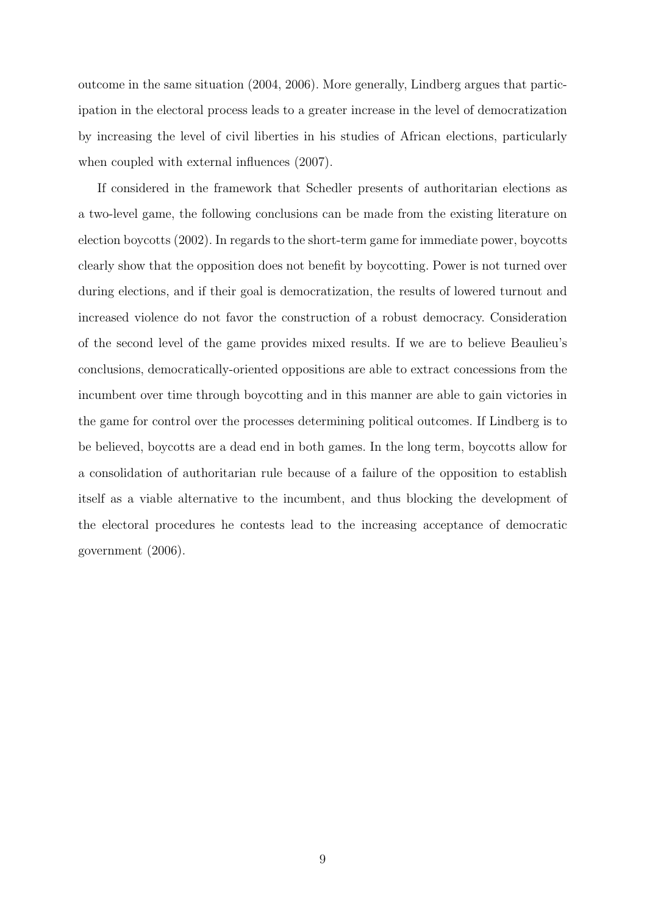outcome in the same situation (2004, 2006). More generally, Lindberg argues that participation in the electoral process leads to a greater increase in the level of democratization by increasing the level of civil liberties in his studies of African elections, particularly when coupled with external influences (2007).

If considered in the framework that Schedler presents of authoritarian elections as a two-level game, the following conclusions can be made from the existing literature on election boycotts (2002). In regards to the short-term game for immediate power, boycotts clearly show that the opposition does not benefit by boycotting. Power is not turned over during elections, and if their goal is democratization, the results of lowered turnout and increased violence do not favor the construction of a robust democracy. Consideration of the second level of the game provides mixed results. If we are to believe Beaulieu's conclusions, democratically-oriented oppositions are able to extract concessions from the incumbent over time through boycotting and in this manner are able to gain victories in the game for control over the processes determining political outcomes. If Lindberg is to be believed, boycotts are a dead end in both games. In the long term, boycotts allow for a consolidation of authoritarian rule because of a failure of the opposition to establish itself as a viable alternative to the incumbent, and thus blocking the development of the electoral procedures he contests lead to the increasing acceptance of democratic government (2006).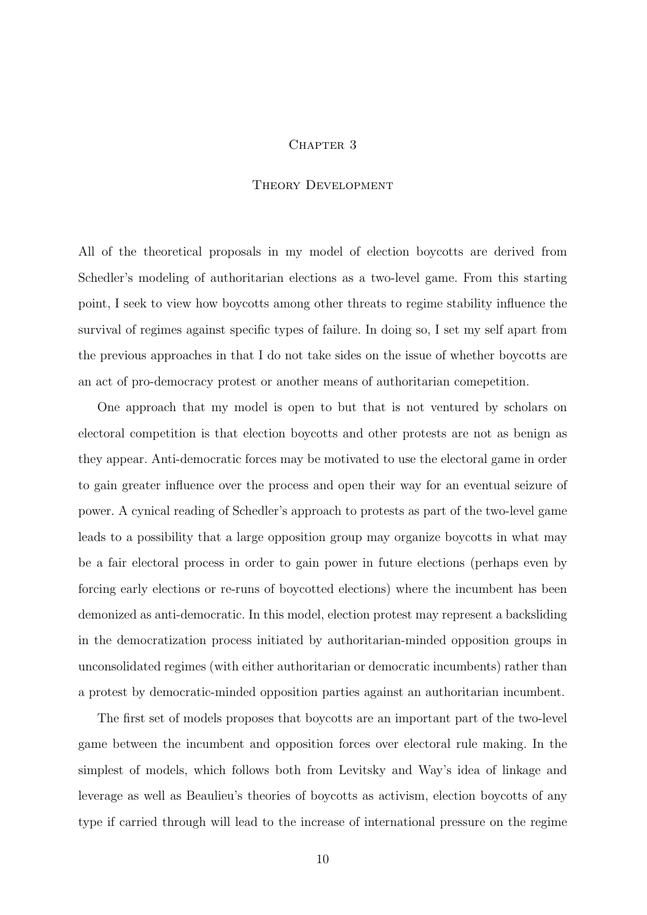#### CHAPTER 3

## Theory Development

All of the theoretical proposals in my model of election boycotts are derived from Schedler's modeling of authoritarian elections as a two-level game. From this starting point, I seek to view how boycotts among other threats to regime stability influence the survival of regimes against specific types of failure. In doing so, I set my self apart from the previous approaches in that I do not take sides on the issue of whether boycotts are an act of pro-democracy protest or another means of authoritarian comepetition.

One approach that my model is open to but that is not ventured by scholars on electoral competition is that election boycotts and other protests are not as benign as they appear. Anti-democratic forces may be motivated to use the electoral game in order to gain greater influence over the process and open their way for an eventual seizure of power. A cynical reading of Schedler's approach to protests as part of the two-level game leads to a possibility that a large opposition group may organize boycotts in what may be a fair electoral process in order to gain power in future elections (perhaps even by forcing early elections or re-runs of boycotted elections) where the incumbent has been demonized as anti-democratic. In this model, election protest may represent a backsliding in the democratization process initiated by authoritarian-minded opposition groups in unconsolidated regimes (with either authoritarian or democratic incumbents) rather than a protest by democratic-minded opposition parties against an authoritarian incumbent.

The first set of models proposes that boycotts are an important part of the two-level game between the incumbent and opposition forces over electoral rule making. In the simplest of models, which follows both from Levitsky and Way's idea of linkage and leverage as well as Beaulieu's theories of boycotts as activism, election boycotts of any type if carried through will lead to the increase of international pressure on the regime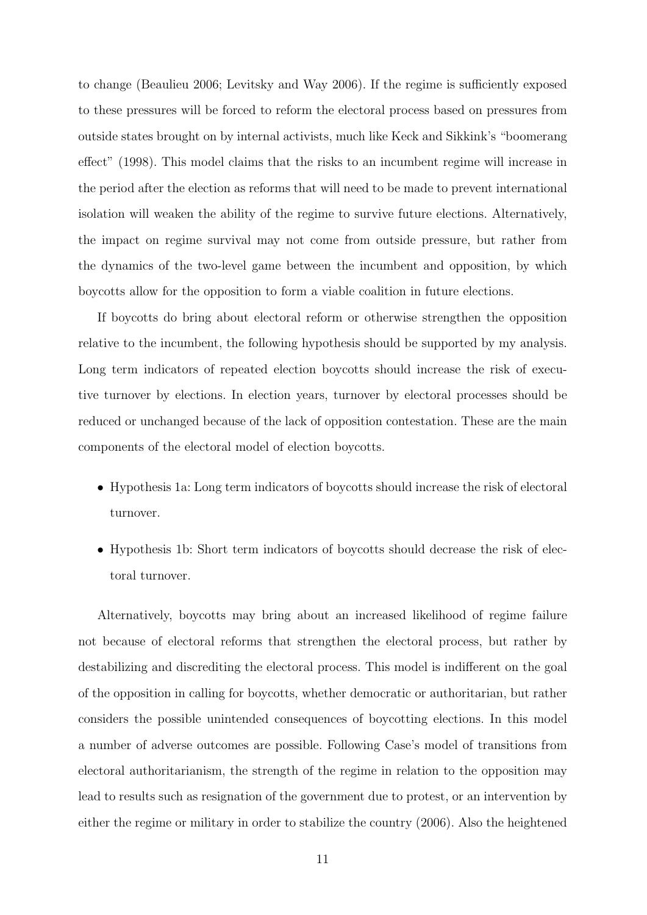to change (Beaulieu 2006; Levitsky and Way 2006). If the regime is sufficiently exposed to these pressures will be forced to reform the electoral process based on pressures from outside states brought on by internal activists, much like Keck and Sikkink's "boomerang effect" (1998). This model claims that the risks to an incumbent regime will increase in the period after the election as reforms that will need to be made to prevent international isolation will weaken the ability of the regime to survive future elections. Alternatively, the impact on regime survival may not come from outside pressure, but rather from the dynamics of the two-level game between the incumbent and opposition, by which boycotts allow for the opposition to form a viable coalition in future elections.

If boycotts do bring about electoral reform or otherwise strengthen the opposition relative to the incumbent, the following hypothesis should be supported by my analysis. Long term indicators of repeated election boycotts should increase the risk of executive turnover by elections. In election years, turnover by electoral processes should be reduced or unchanged because of the lack of opposition contestation. These are the main components of the electoral model of election boycotts.

- Hypothesis 1a: Long term indicators of boycotts should increase the risk of electoral turnover.
- Hypothesis 1b: Short term indicators of boycotts should decrease the risk of electoral turnover.

Alternatively, boycotts may bring about an increased likelihood of regime failure not because of electoral reforms that strengthen the electoral process, but rather by destabilizing and discrediting the electoral process. This model is indifferent on the goal of the opposition in calling for boycotts, whether democratic or authoritarian, but rather considers the possible unintended consequences of boycotting elections. In this model a number of adverse outcomes are possible. Following Case's model of transitions from electoral authoritarianism, the strength of the regime in relation to the opposition may lead to results such as resignation of the government due to protest, or an intervention by either the regime or military in order to stabilize the country (2006). Also the heightened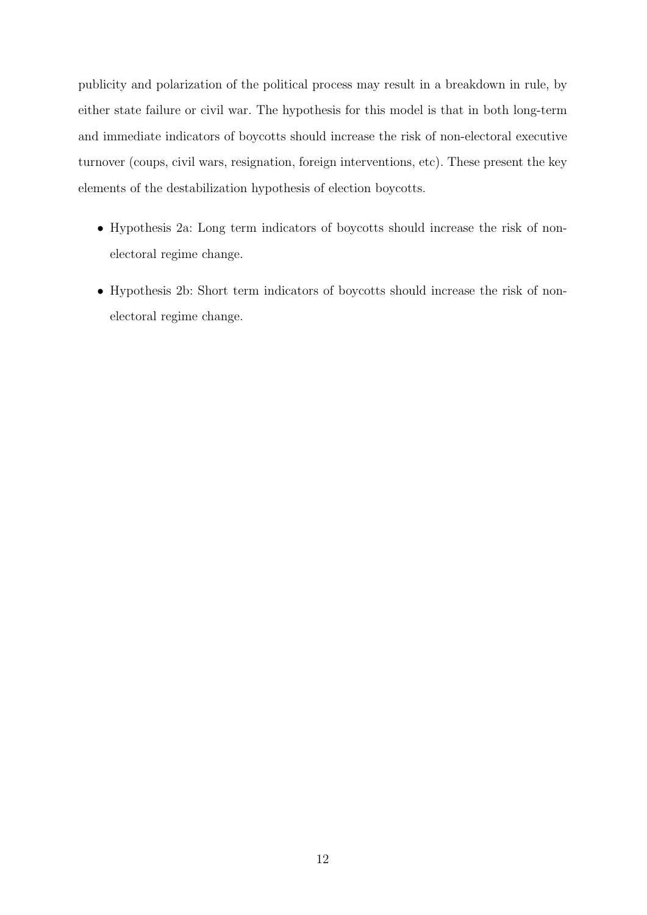publicity and polarization of the political process may result in a breakdown in rule, by either state failure or civil war. The hypothesis for this model is that in both long-term and immediate indicators of boycotts should increase the risk of non-electoral executive turnover (coups, civil wars, resignation, foreign interventions, etc). These present the key elements of the destabilization hypothesis of election boycotts.

- Hypothesis 2a: Long term indicators of boycotts should increase the risk of nonelectoral regime change.
- Hypothesis 2b: Short term indicators of boycotts should increase the risk of nonelectoral regime change.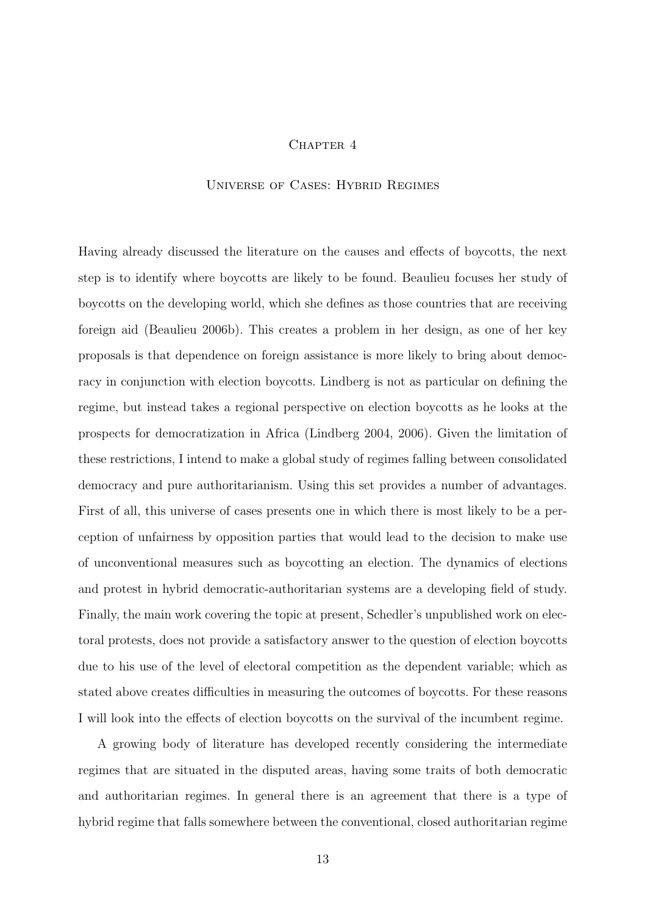## CHAPTER 4

#### Universe of Cases: Hybrid Regimes

Having already discussed the literature on the causes and effects of boycotts, the next step is to identify where boycotts are likely to be found. Beaulieu focuses her study of boycotts on the developing world, which she defines as those countries that are receiving foreign aid (Beaulieu 2006b). This creates a problem in her design, as one of her key proposals is that dependence on foreign assistance is more likely to bring about democracy in conjunction with election boycotts. Lindberg is not as particular on defining the regime, but instead takes a regional perspective on election boycotts as he looks at the prospects for democratization in Africa (Lindberg 2004, 2006). Given the limitation of these restrictions, I intend to make a global study of regimes falling between consolidated democracy and pure authoritarianism. Using this set provides a number of advantages. First of all, this universe of cases presents one in which there is most likely to be a perception of unfairness by opposition parties that would lead to the decision to make use of unconventional measures such as boycotting an election. The dynamics of elections and protest in hybrid democratic-authoritarian systems are a developing field of study. Finally, the main work covering the topic at present, Schedler's unpublished work on electoral protests, does not provide a satisfactory answer to the question of election boycotts due to his use of the level of electoral competition as the dependent variable; which as stated above creates difficulties in measuring the outcomes of boycotts. For these reasons I will look into the effects of election boycotts on the survival of the incumbent regime.

A growing body of literature has developed recently considering the intermediate regimes that are situated in the disputed areas, having some traits of both democratic and authoritarian regimes. In general there is an agreement that there is a type of hybrid regime that falls somewhere between the conventional, closed authoritarian regime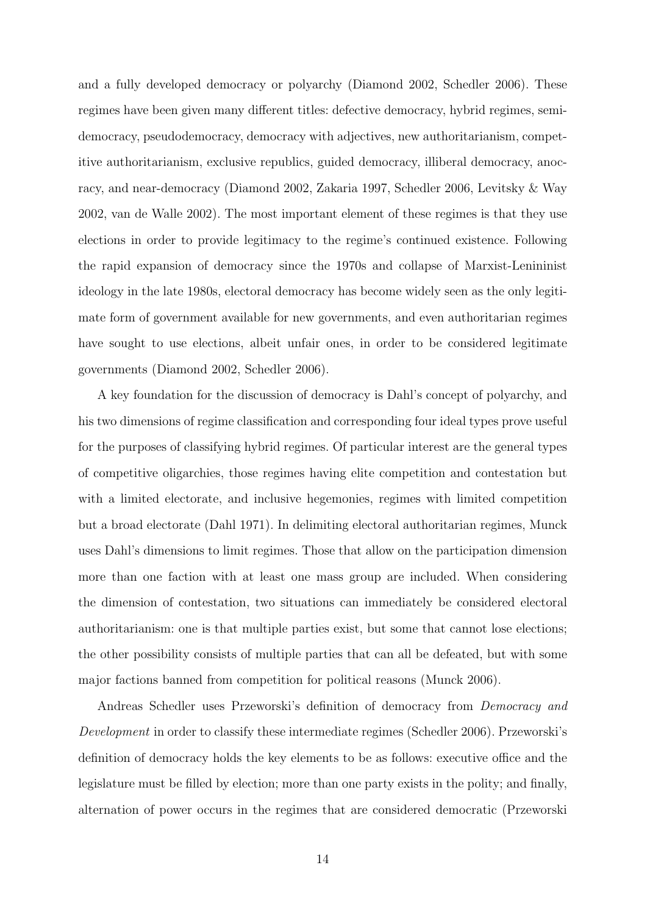and a fully developed democracy or polyarchy (Diamond 2002, Schedler 2006). These regimes have been given many different titles: defective democracy, hybrid regimes, semidemocracy, pseudodemocracy, democracy with adjectives, new authoritarianism, competitive authoritarianism, exclusive republics, guided democracy, illiberal democracy, anocracy, and near-democracy (Diamond 2002, Zakaria 1997, Schedler 2006, Levitsky & Way 2002, van de Walle 2002). The most important element of these regimes is that they use elections in order to provide legitimacy to the regime's continued existence. Following the rapid expansion of democracy since the 1970s and collapse of Marxist-Lenininist ideology in the late 1980s, electoral democracy has become widely seen as the only legitimate form of government available for new governments, and even authoritarian regimes have sought to use elections, albeit unfair ones, in order to be considered legitimate governments (Diamond 2002, Schedler 2006).

A key foundation for the discussion of democracy is Dahl's concept of polyarchy, and his two dimensions of regime classification and corresponding four ideal types prove useful for the purposes of classifying hybrid regimes. Of particular interest are the general types of competitive oligarchies, those regimes having elite competition and contestation but with a limited electorate, and inclusive hegemonies, regimes with limited competition but a broad electorate (Dahl 1971). In delimiting electoral authoritarian regimes, Munck uses Dahl's dimensions to limit regimes. Those that allow on the participation dimension more than one faction with at least one mass group are included. When considering the dimension of contestation, two situations can immediately be considered electoral authoritarianism: one is that multiple parties exist, but some that cannot lose elections; the other possibility consists of multiple parties that can all be defeated, but with some major factions banned from competition for political reasons (Munck 2006).

Andreas Schedler uses Przeworski's definition of democracy from Democracy and Development in order to classify these intermediate regimes (Schedler 2006). Przeworski's definition of democracy holds the key elements to be as follows: executive office and the legislature must be filled by election; more than one party exists in the polity; and finally, alternation of power occurs in the regimes that are considered democratic (Przeworski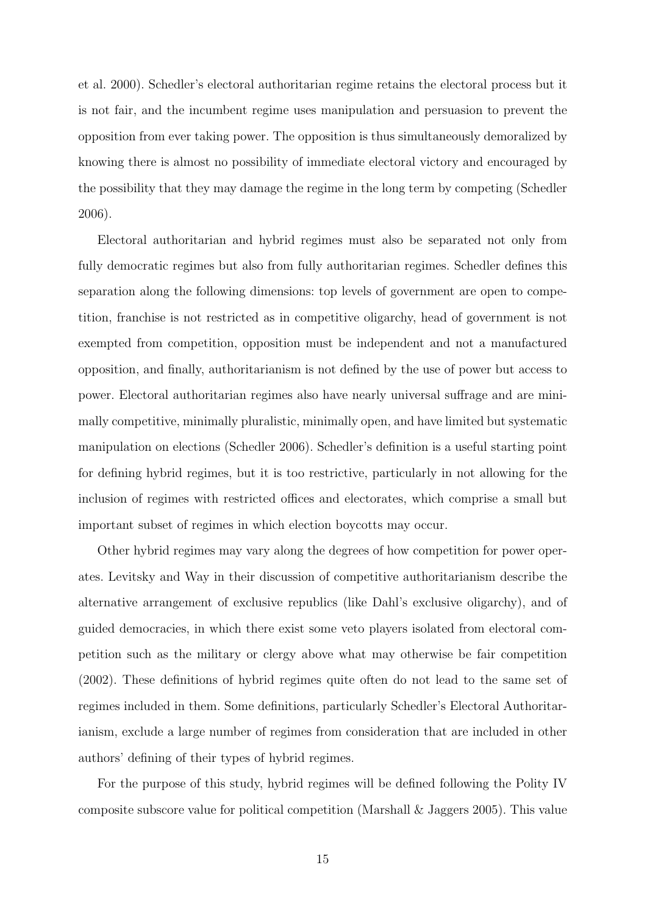et al. 2000). Schedler's electoral authoritarian regime retains the electoral process but it is not fair, and the incumbent regime uses manipulation and persuasion to prevent the opposition from ever taking power. The opposition is thus simultaneously demoralized by knowing there is almost no possibility of immediate electoral victory and encouraged by the possibility that they may damage the regime in the long term by competing (Schedler 2006).

Electoral authoritarian and hybrid regimes must also be separated not only from fully democratic regimes but also from fully authoritarian regimes. Schedler defines this separation along the following dimensions: top levels of government are open to competition, franchise is not restricted as in competitive oligarchy, head of government is not exempted from competition, opposition must be independent and not a manufactured opposition, and finally, authoritarianism is not defined by the use of power but access to power. Electoral authoritarian regimes also have nearly universal suffrage and are minimally competitive, minimally pluralistic, minimally open, and have limited but systematic manipulation on elections (Schedler 2006). Schedler's definition is a useful starting point for defining hybrid regimes, but it is too restrictive, particularly in not allowing for the inclusion of regimes with restricted offices and electorates, which comprise a small but important subset of regimes in which election boycotts may occur.

Other hybrid regimes may vary along the degrees of how competition for power operates. Levitsky and Way in their discussion of competitive authoritarianism describe the alternative arrangement of exclusive republics (like Dahl's exclusive oligarchy), and of guided democracies, in which there exist some veto players isolated from electoral competition such as the military or clergy above what may otherwise be fair competition (2002). These definitions of hybrid regimes quite often do not lead to the same set of regimes included in them. Some definitions, particularly Schedler's Electoral Authoritarianism, exclude a large number of regimes from consideration that are included in other authors' defining of their types of hybrid regimes.

For the purpose of this study, hybrid regimes will be defined following the Polity IV composite subscore value for political competition (Marshall & Jaggers 2005). This value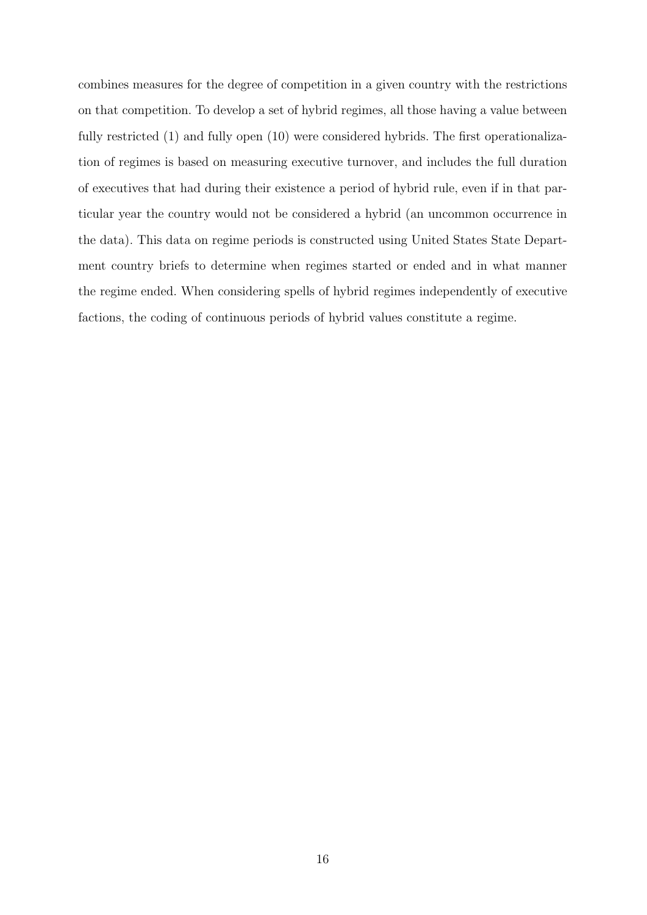combines measures for the degree of competition in a given country with the restrictions on that competition. To develop a set of hybrid regimes, all those having a value between fully restricted (1) and fully open (10) were considered hybrids. The first operationalization of regimes is based on measuring executive turnover, and includes the full duration of executives that had during their existence a period of hybrid rule, even if in that particular year the country would not be considered a hybrid (an uncommon occurrence in the data). This data on regime periods is constructed using United States State Department country briefs to determine when regimes started or ended and in what manner the regime ended. When considering spells of hybrid regimes independently of executive factions, the coding of continuous periods of hybrid values constitute a regime.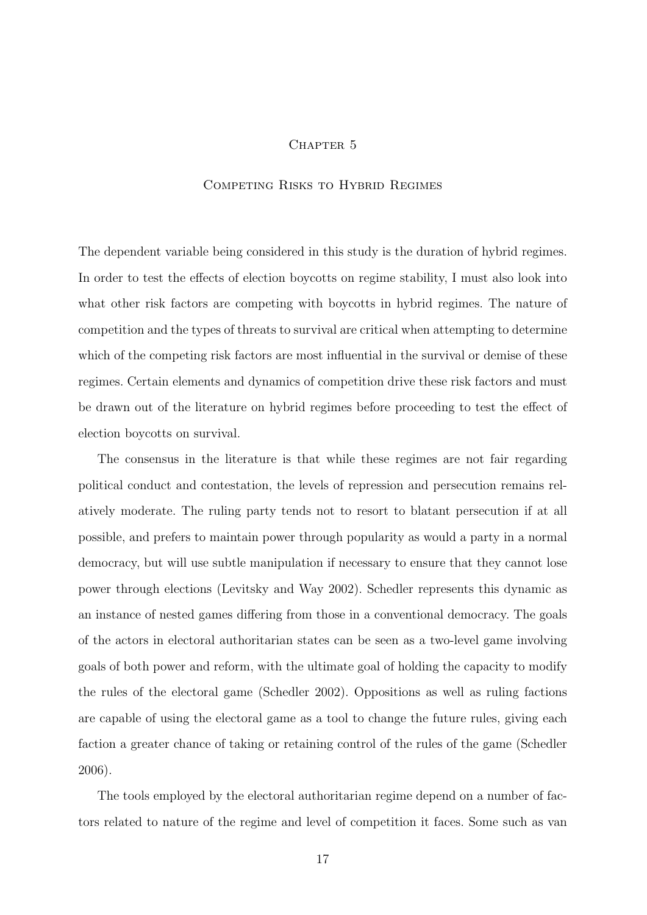## CHAPTER 5

## Competing Risks to Hybrid Regimes

The dependent variable being considered in this study is the duration of hybrid regimes. In order to test the effects of election boycotts on regime stability, I must also look into what other risk factors are competing with boycotts in hybrid regimes. The nature of competition and the types of threats to survival are critical when attempting to determine which of the competing risk factors are most influential in the survival or demise of these regimes. Certain elements and dynamics of competition drive these risk factors and must be drawn out of the literature on hybrid regimes before proceeding to test the effect of election boycotts on survival.

The consensus in the literature is that while these regimes are not fair regarding political conduct and contestation, the levels of repression and persecution remains relatively moderate. The ruling party tends not to resort to blatant persecution if at all possible, and prefers to maintain power through popularity as would a party in a normal democracy, but will use subtle manipulation if necessary to ensure that they cannot lose power through elections (Levitsky and Way 2002). Schedler represents this dynamic as an instance of nested games differing from those in a conventional democracy. The goals of the actors in electoral authoritarian states can be seen as a two-level game involving goals of both power and reform, with the ultimate goal of holding the capacity to modify the rules of the electoral game (Schedler 2002). Oppositions as well as ruling factions are capable of using the electoral game as a tool to change the future rules, giving each faction a greater chance of taking or retaining control of the rules of the game (Schedler 2006).

The tools employed by the electoral authoritarian regime depend on a number of factors related to nature of the regime and level of competition it faces. Some such as van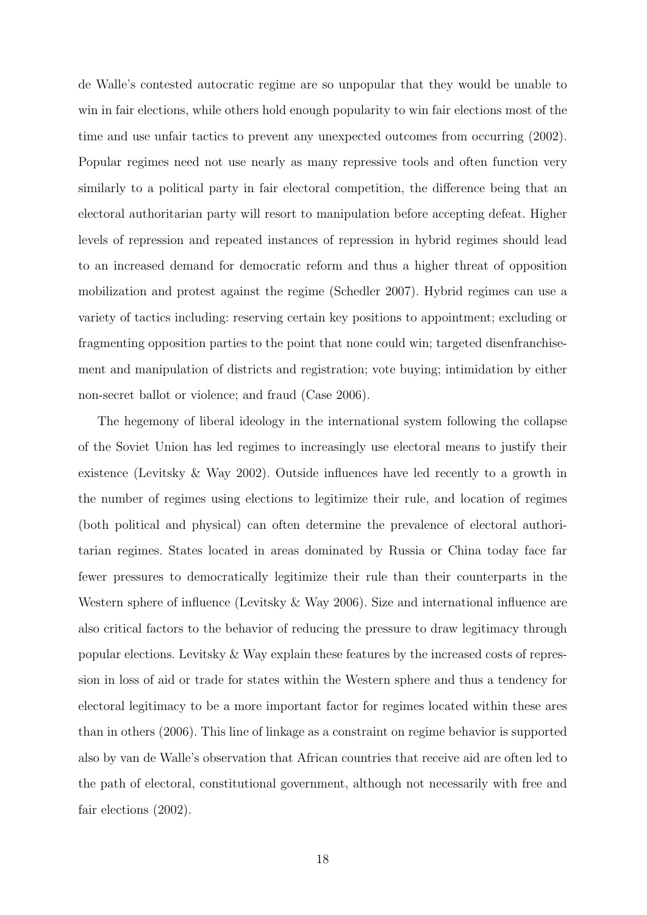de Walle's contested autocratic regime are so unpopular that they would be unable to win in fair elections, while others hold enough popularity to win fair elections most of the time and use unfair tactics to prevent any unexpected outcomes from occurring (2002). Popular regimes need not use nearly as many repressive tools and often function very similarly to a political party in fair electoral competition, the difference being that an electoral authoritarian party will resort to manipulation before accepting defeat. Higher levels of repression and repeated instances of repression in hybrid regimes should lead to an increased demand for democratic reform and thus a higher threat of opposition mobilization and protest against the regime (Schedler 2007). Hybrid regimes can use a variety of tactics including: reserving certain key positions to appointment; excluding or fragmenting opposition parties to the point that none could win; targeted disenfranchisement and manipulation of districts and registration; vote buying; intimidation by either non-secret ballot or violence; and fraud (Case 2006).

The hegemony of liberal ideology in the international system following the collapse of the Soviet Union has led regimes to increasingly use electoral means to justify their existence (Levitsky & Way 2002). Outside influences have led recently to a growth in the number of regimes using elections to legitimize their rule, and location of regimes (both political and physical) can often determine the prevalence of electoral authoritarian regimes. States located in areas dominated by Russia or China today face far fewer pressures to democratically legitimize their rule than their counterparts in the Western sphere of influence (Levitsky & Way 2006). Size and international influence are also critical factors to the behavior of reducing the pressure to draw legitimacy through popular elections. Levitsky & Way explain these features by the increased costs of repression in loss of aid or trade for states within the Western sphere and thus a tendency for electoral legitimacy to be a more important factor for regimes located within these ares than in others (2006). This line of linkage as a constraint on regime behavior is supported also by van de Walle's observation that African countries that receive aid are often led to the path of electoral, constitutional government, although not necessarily with free and fair elections (2002).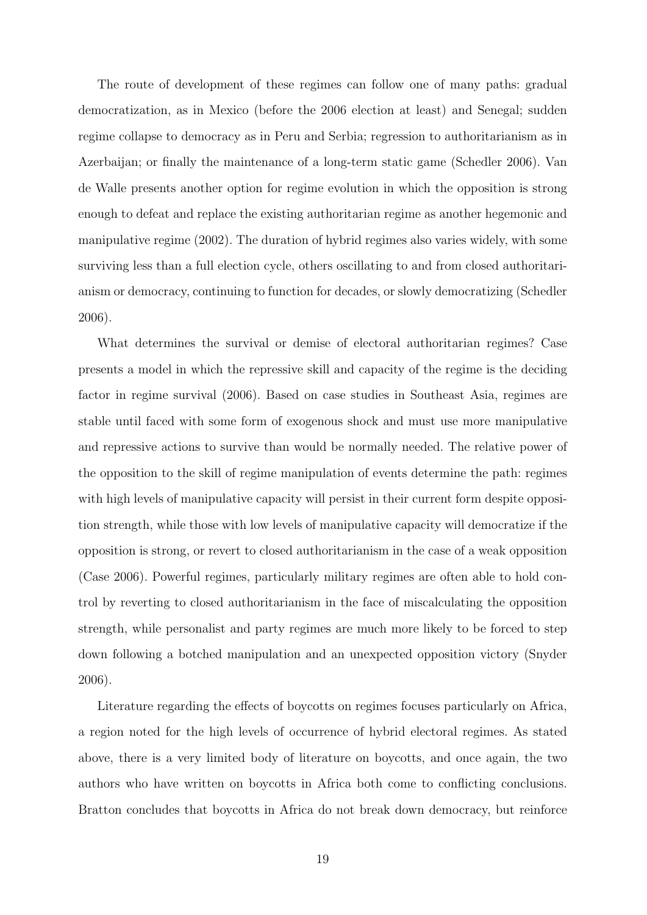The route of development of these regimes can follow one of many paths: gradual democratization, as in Mexico (before the 2006 election at least) and Senegal; sudden regime collapse to democracy as in Peru and Serbia; regression to authoritarianism as in Azerbaijan; or finally the maintenance of a long-term static game (Schedler 2006). Van de Walle presents another option for regime evolution in which the opposition is strong enough to defeat and replace the existing authoritarian regime as another hegemonic and manipulative regime (2002). The duration of hybrid regimes also varies widely, with some surviving less than a full election cycle, others oscillating to and from closed authoritarianism or democracy, continuing to function for decades, or slowly democratizing (Schedler 2006).

What determines the survival or demise of electoral authoritarian regimes? Case presents a model in which the repressive skill and capacity of the regime is the deciding factor in regime survival (2006). Based on case studies in Southeast Asia, regimes are stable until faced with some form of exogenous shock and must use more manipulative and repressive actions to survive than would be normally needed. The relative power of the opposition to the skill of regime manipulation of events determine the path: regimes with high levels of manipulative capacity will persist in their current form despite opposition strength, while those with low levels of manipulative capacity will democratize if the opposition is strong, or revert to closed authoritarianism in the case of a weak opposition (Case 2006). Powerful regimes, particularly military regimes are often able to hold control by reverting to closed authoritarianism in the face of miscalculating the opposition strength, while personalist and party regimes are much more likely to be forced to step down following a botched manipulation and an unexpected opposition victory (Snyder 2006).

Literature regarding the effects of boycotts on regimes focuses particularly on Africa, a region noted for the high levels of occurrence of hybrid electoral regimes. As stated above, there is a very limited body of literature on boycotts, and once again, the two authors who have written on boycotts in Africa both come to conflicting conclusions. Bratton concludes that boycotts in Africa do not break down democracy, but reinforce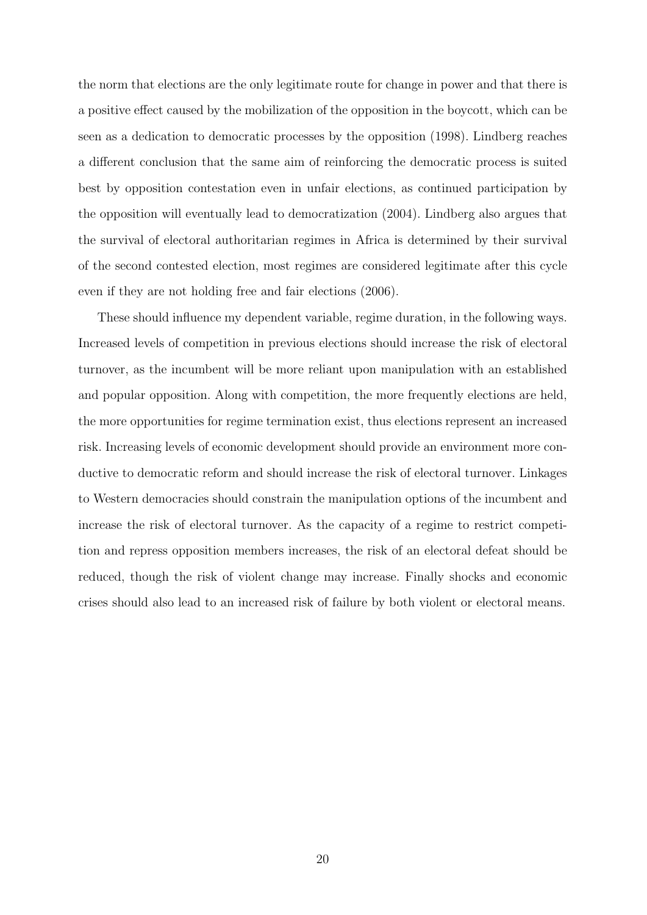the norm that elections are the only legitimate route for change in power and that there is a positive effect caused by the mobilization of the opposition in the boycott, which can be seen as a dedication to democratic processes by the opposition (1998). Lindberg reaches a different conclusion that the same aim of reinforcing the democratic process is suited best by opposition contestation even in unfair elections, as continued participation by the opposition will eventually lead to democratization (2004). Lindberg also argues that the survival of electoral authoritarian regimes in Africa is determined by their survival of the second contested election, most regimes are considered legitimate after this cycle even if they are not holding free and fair elections (2006).

These should influence my dependent variable, regime duration, in the following ways. Increased levels of competition in previous elections should increase the risk of electoral turnover, as the incumbent will be more reliant upon manipulation with an established and popular opposition. Along with competition, the more frequently elections are held, the more opportunities for regime termination exist, thus elections represent an increased risk. Increasing levels of economic development should provide an environment more conductive to democratic reform and should increase the risk of electoral turnover. Linkages to Western democracies should constrain the manipulation options of the incumbent and increase the risk of electoral turnover. As the capacity of a regime to restrict competition and repress opposition members increases, the risk of an electoral defeat should be reduced, though the risk of violent change may increase. Finally shocks and economic crises should also lead to an increased risk of failure by both violent or electoral means.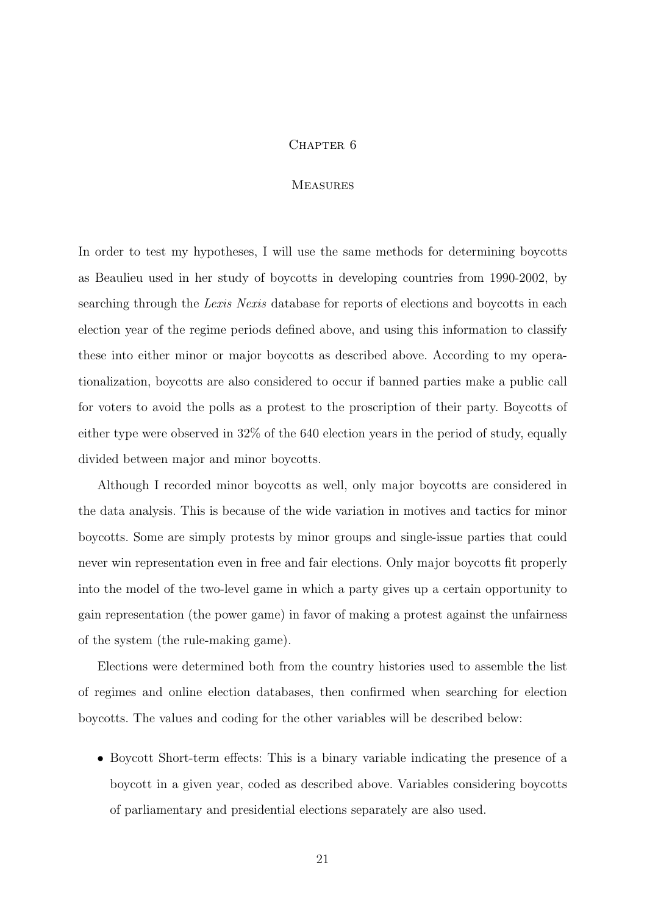## CHAPTER<sub>6</sub>

## **MEASURES**

In order to test my hypotheses, I will use the same methods for determining boycotts as Beaulieu used in her study of boycotts in developing countries from 1990-2002, by searching through the Lexis Nexis database for reports of elections and boycotts in each election year of the regime periods defined above, and using this information to classify these into either minor or major boycotts as described above. According to my operationalization, boycotts are also considered to occur if banned parties make a public call for voters to avoid the polls as a protest to the proscription of their party. Boycotts of either type were observed in 32% of the 640 election years in the period of study, equally divided between major and minor boycotts.

Although I recorded minor boycotts as well, only major boycotts are considered in the data analysis. This is because of the wide variation in motives and tactics for minor boycotts. Some are simply protests by minor groups and single-issue parties that could never win representation even in free and fair elections. Only major boycotts fit properly into the model of the two-level game in which a party gives up a certain opportunity to gain representation (the power game) in favor of making a protest against the unfairness of the system (the rule-making game).

Elections were determined both from the country histories used to assemble the list of regimes and online election databases, then confirmed when searching for election boycotts. The values and coding for the other variables will be described below:

• Boycott Short-term effects: This is a binary variable indicating the presence of a boycott in a given year, coded as described above. Variables considering boycotts of parliamentary and presidential elections separately are also used.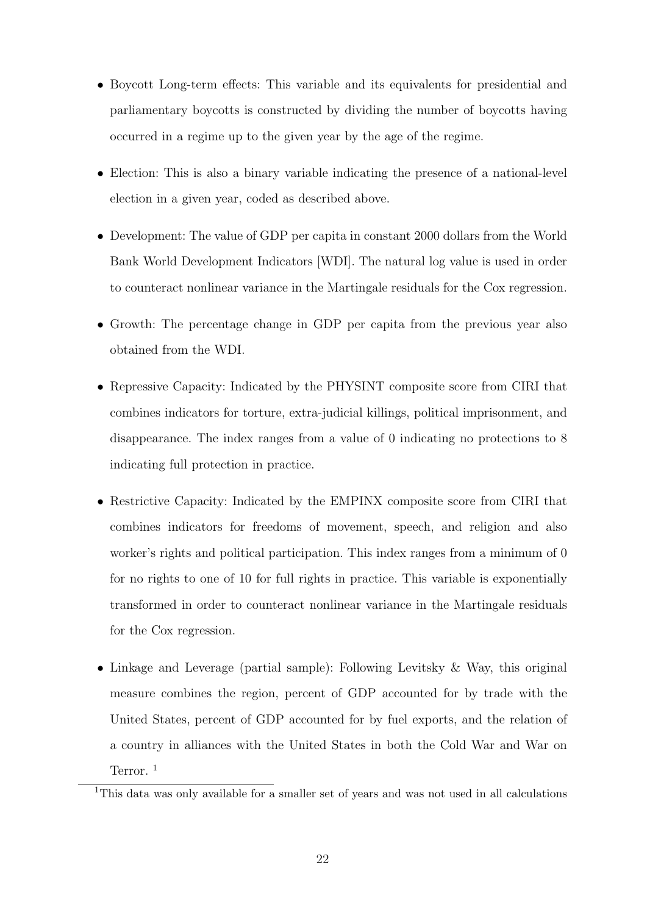- Boycott Long-term effects: This variable and its equivalents for presidential and parliamentary boycotts is constructed by dividing the number of boycotts having occurred in a regime up to the given year by the age of the regime.
- Election: This is also a binary variable indicating the presence of a national-level election in a given year, coded as described above.
- Development: The value of GDP per capita in constant 2000 dollars from the World Bank World Development Indicators [WDI]. The natural log value is used in order to counteract nonlinear variance in the Martingale residuals for the Cox regression.
- Growth: The percentage change in GDP per capita from the previous year also obtained from the WDI.
- Repressive Capacity: Indicated by the PHYSINT composite score from CIRI that combines indicators for torture, extra-judicial killings, political imprisonment, and disappearance. The index ranges from a value of 0 indicating no protections to 8 indicating full protection in practice.
- Restrictive Capacity: Indicated by the EMPINX composite score from CIRI that combines indicators for freedoms of movement, speech, and religion and also worker's rights and political participation. This index ranges from a minimum of 0 for no rights to one of 10 for full rights in practice. This variable is exponentially transformed in order to counteract nonlinear variance in the Martingale residuals for the Cox regression.
- Linkage and Leverage (partial sample): Following Levitsky & Way, this original measure combines the region, percent of GDP accounted for by trade with the United States, percent of GDP accounted for by fuel exports, and the relation of a country in alliances with the United States in both the Cold War and War on Terror.<sup>1</sup>

<sup>&</sup>lt;sup>1</sup>This data was only available for a smaller set of years and was not used in all calculations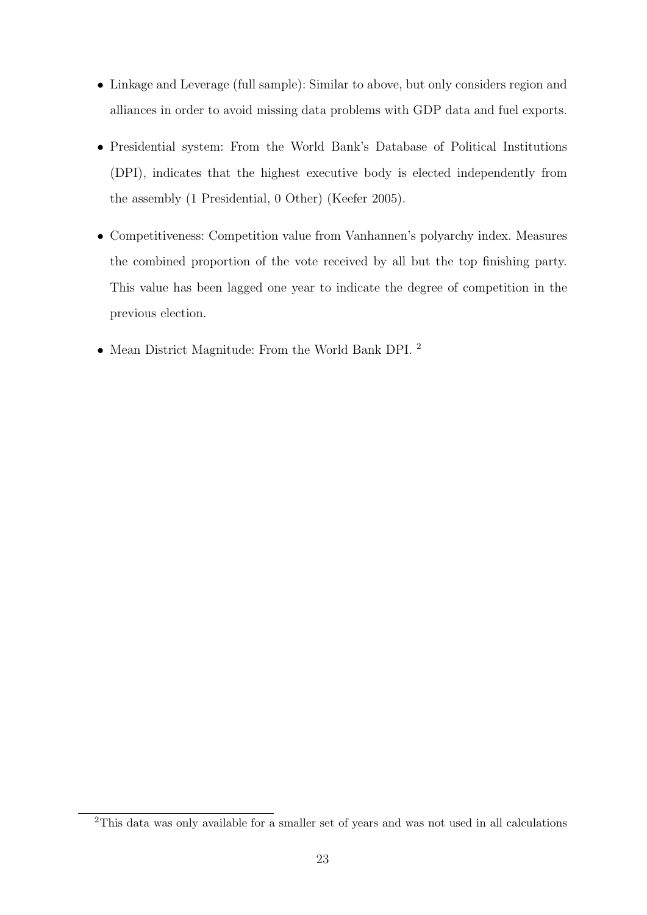- Linkage and Leverage (full sample): Similar to above, but only considers region and alliances in order to avoid missing data problems with GDP data and fuel exports.
- Presidential system: From the World Bank's Database of Political Institutions (DPI), indicates that the highest executive body is elected independently from the assembly (1 Presidential, 0 Other) (Keefer 2005).
- Competitiveness: Competition value from Vanhannen's polyarchy index. Measures the combined proportion of the vote received by all but the top finishing party. This value has been lagged one year to indicate the degree of competition in the previous election.
- Mean District Magnitude: From the World Bank DPI. <sup>2</sup>

<sup>2</sup>This data was only available for a smaller set of years and was not used in all calculations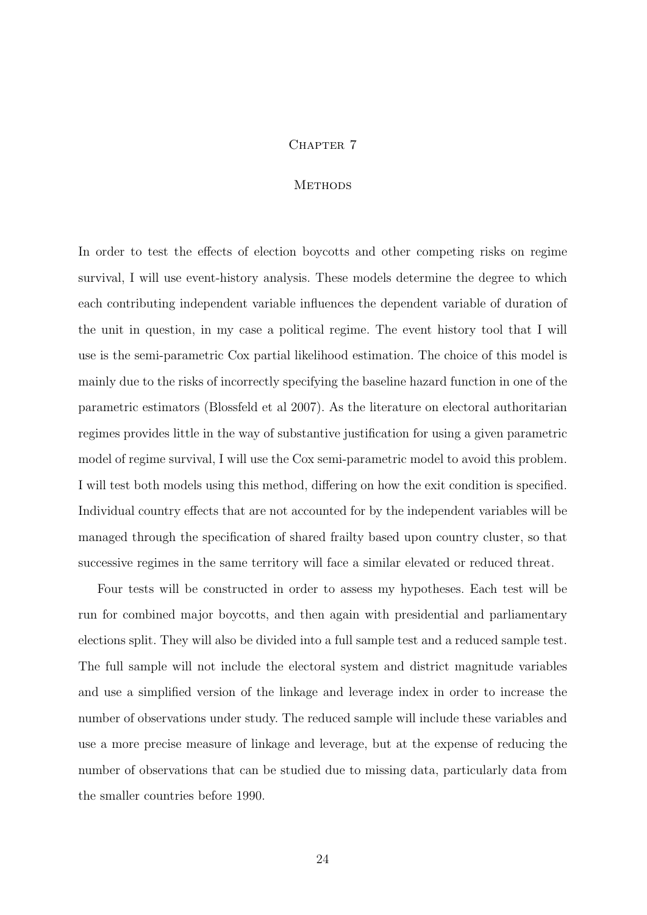## CHAPTER 7

## **METHODS**

In order to test the effects of election boycotts and other competing risks on regime survival, I will use event-history analysis. These models determine the degree to which each contributing independent variable influences the dependent variable of duration of the unit in question, in my case a political regime. The event history tool that I will use is the semi-parametric Cox partial likelihood estimation. The choice of this model is mainly due to the risks of incorrectly specifying the baseline hazard function in one of the parametric estimators (Blossfeld et al 2007). As the literature on electoral authoritarian regimes provides little in the way of substantive justification for using a given parametric model of regime survival, I will use the Cox semi-parametric model to avoid this problem. I will test both models using this method, differing on how the exit condition is specified. Individual country effects that are not accounted for by the independent variables will be managed through the specification of shared frailty based upon country cluster, so that successive regimes in the same territory will face a similar elevated or reduced threat.

Four tests will be constructed in order to assess my hypotheses. Each test will be run for combined major boycotts, and then again with presidential and parliamentary elections split. They will also be divided into a full sample test and a reduced sample test. The full sample will not include the electoral system and district magnitude variables and use a simplified version of the linkage and leverage index in order to increase the number of observations under study. The reduced sample will include these variables and use a more precise measure of linkage and leverage, but at the expense of reducing the number of observations that can be studied due to missing data, particularly data from the smaller countries before 1990.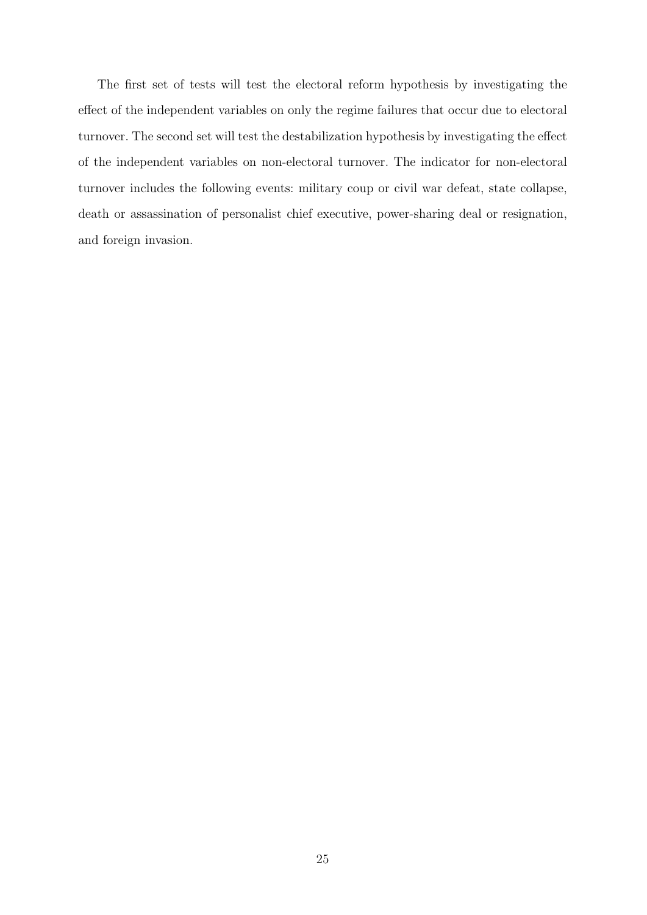The first set of tests will test the electoral reform hypothesis by investigating the effect of the independent variables on only the regime failures that occur due to electoral turnover. The second set will test the destabilization hypothesis by investigating the effect of the independent variables on non-electoral turnover. The indicator for non-electoral turnover includes the following events: military coup or civil war defeat, state collapse, death or assassination of personalist chief executive, power-sharing deal or resignation, and foreign invasion.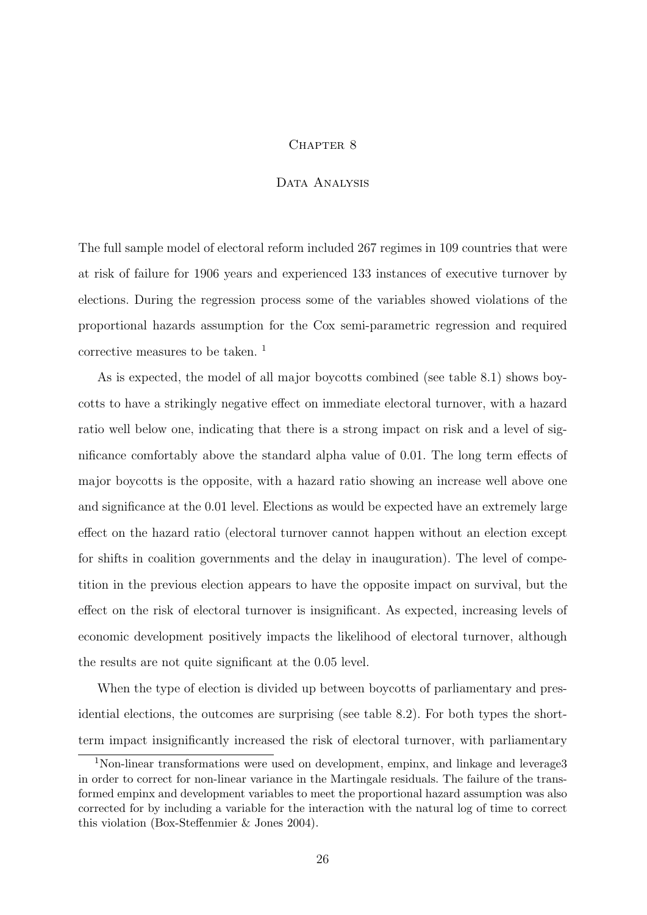#### CHAPTER 8

## DATA ANALYSIS

The full sample model of electoral reform included 267 regimes in 109 countries that were at risk of failure for 1906 years and experienced 133 instances of executive turnover by elections. During the regression process some of the variables showed violations of the proportional hazards assumption for the Cox semi-parametric regression and required corrective measures to be taken. <sup>1</sup>

As is expected, the model of all major boycotts combined (see table 8.1) shows boycotts to have a strikingly negative effect on immediate electoral turnover, with a hazard ratio well below one, indicating that there is a strong impact on risk and a level of significance comfortably above the standard alpha value of 0.01. The long term effects of major boycotts is the opposite, with a hazard ratio showing an increase well above one and significance at the 0.01 level. Elections as would be expected have an extremely large effect on the hazard ratio (electoral turnover cannot happen without an election except for shifts in coalition governments and the delay in inauguration). The level of competition in the previous election appears to have the opposite impact on survival, but the effect on the risk of electoral turnover is insignificant. As expected, increasing levels of economic development positively impacts the likelihood of electoral turnover, although the results are not quite significant at the 0.05 level.

When the type of election is divided up between boycotts of parliamentary and presidential elections, the outcomes are surprising (see table 8.2). For both types the shortterm impact insignificantly increased the risk of electoral turnover, with parliamentary

<sup>&</sup>lt;sup>1</sup>Non-linear transformations were used on development, empinx, and linkage and leverage3 in order to correct for non-linear variance in the Martingale residuals. The failure of the transformed empinx and development variables to meet the proportional hazard assumption was also corrected for by including a variable for the interaction with the natural log of time to correct this violation (Box-Steffenmier & Jones 2004).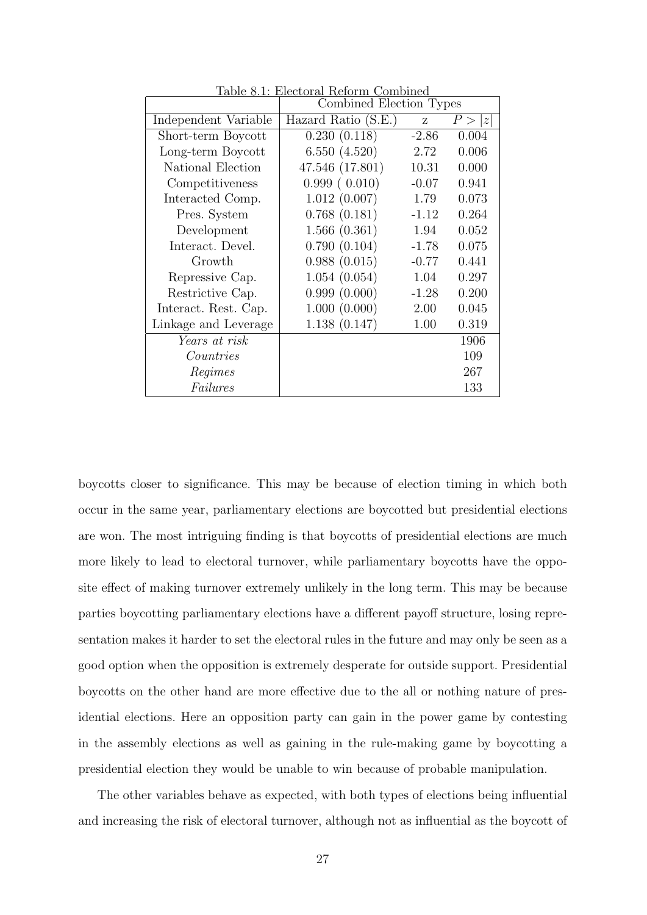|                      | Combined Election Types |         |             |
|----------------------|-------------------------|---------|-------------|
| Independent Variable | Hazard Ratio (S.E.)     | Z       | P > 0<br> z |
| Short-term Boycott   | 0.230(0.118)            | $-2.86$ | 0.004       |
| Long-term Boycott    | 6.550(4.520)            | 2.72    | 0.006       |
| National Election    | 47.546 (17.801)         | 10.31   | 0.000       |
| Competitiveness      | 0.999(0.010)            | $-0.07$ | 0.941       |
| Interacted Comp.     | 1.012(0.007)            | 1.79    | 0.073       |
| Pres. System         | 0.768(0.181)            | $-1.12$ | 0.264       |
| Development          | 1.566(0.361)            | 1.94    | 0.052       |
| Interact. Devel.     | 0.790(0.104)            | $-1.78$ | 0.075       |
| Growth               | 0.988(0.015)            | $-0.77$ | 0.441       |
| Repressive Cap.      | 1.054(0.054)            | 1.04    | 0.297       |
| Restrictive Cap.     | 0.999(0.000)            | $-1.28$ | 0.200       |
| Interact. Rest. Cap. | 1.000(0.000)            | 2.00    | 0.045       |
| Linkage and Leverage | 1.138(0.147)            | 1.00    | 0.319       |
| Years at risk        |                         |         | 1906        |
| Countries            |                         |         | 109         |
| Regimes              |                         |         | 267         |
| Failures             |                         |         | 133         |

Table 8.1: Electoral Reform Combined

boycotts closer to significance. This may be because of election timing in which both occur in the same year, parliamentary elections are boycotted but presidential elections are won. The most intriguing finding is that boycotts of presidential elections are much more likely to lead to electoral turnover, while parliamentary boycotts have the opposite effect of making turnover extremely unlikely in the long term. This may be because parties boycotting parliamentary elections have a different payoff structure, losing representation makes it harder to set the electoral rules in the future and may only be seen as a good option when the opposition is extremely desperate for outside support. Presidential boycotts on the other hand are more effective due to the all or nothing nature of presidential elections. Here an opposition party can gain in the power game by contesting in the assembly elections as well as gaining in the rule-making game by boycotting a presidential election they would be unable to win because of probable manipulation.

The other variables behave as expected, with both types of elections being influential and increasing the risk of electoral turnover, although not as influential as the boycott of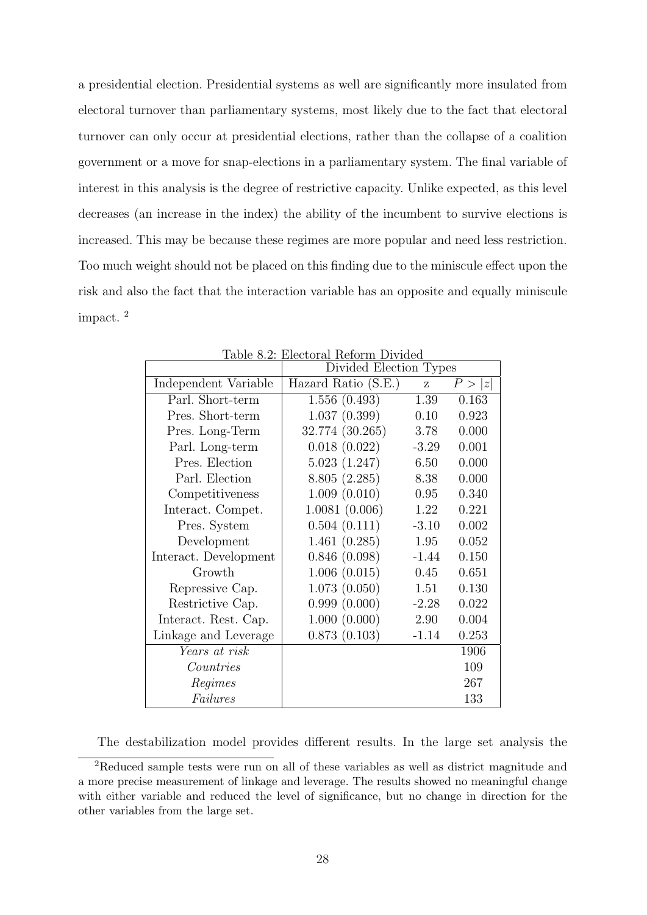a presidential election. Presidential systems as well are significantly more insulated from electoral turnover than parliamentary systems, most likely due to the fact that electoral turnover can only occur at presidential elections, rather than the collapse of a coalition government or a move for snap-elections in a parliamentary system. The final variable of interest in this analysis is the degree of restrictive capacity. Unlike expected, as this level decreases (an increase in the index) the ability of the incumbent to survive elections is increased. This may be because these regimes are more popular and need less restriction. Too much weight should not be placed on this finding due to the miniscule effect upon the risk and also the fact that the interaction variable has an opposite and equally miniscule impact. <sup>2</sup>

|                       | Divided Election Types |         |        |
|-----------------------|------------------------|---------|--------|
| Independent Variable  | Hazard Ratio (S.E.)    | Z       | P >  z |
| Parl. Short-term      | 1.556(0.493)           | 1.39    | 0.163  |
| Pres. Short-term      | 1.037(0.399)           | 0.10    | 0.923  |
| Pres. Long-Term       | 32.774 (30.265)        | 3.78    | 0.000  |
| Parl. Long-term       | 0.018(0.022)           | $-3.29$ | 0.001  |
| Pres. Election        | 5.023(1.247)           | 6.50    | 0.000  |
| Parl. Election        | 8.805(2.285)           | 8.38    | 0.000  |
| Competitiveness       | 1.009(0.010)           | 0.95    | 0.340  |
| Interact. Compet.     | 1.0081(0.006)          | 1.22    | 0.221  |
| Pres. System          | 0.504(0.111)           | $-3.10$ | 0.002  |
| Development           | 1.461(0.285)           | 1.95    | 0.052  |
| Interact. Development | 0.846(0.098)           | $-1.44$ | 0.150  |
| Growth                | 1.006(0.015)           | 0.45    | 0.651  |
| Repressive Cap.       | 1.073(0.050)           | 1.51    | 0.130  |
| Restrictive Cap.      | 0.999(0.000)           | $-2.28$ | 0.022  |
| Interact. Rest. Cap.  | 1.000(0.000)           | 2.90    | 0.004  |
| Linkage and Leverage  | 0.873(0.103)           | $-1.14$ | 0.253  |
| Years at risk         |                        |         | 1906   |
| Countries             |                        |         | 109    |
| Regimes               |                        |         | 267    |
| Failures              |                        |         | 133    |

Table 8.2: Electoral Reform Divided

The destabilization model provides different results. In the large set analysis the

<sup>2</sup>Reduced sample tests were run on all of these variables as well as district magnitude and a more precise measurement of linkage and leverage. The results showed no meaningful change with either variable and reduced the level of significance, but no change in direction for the other variables from the large set.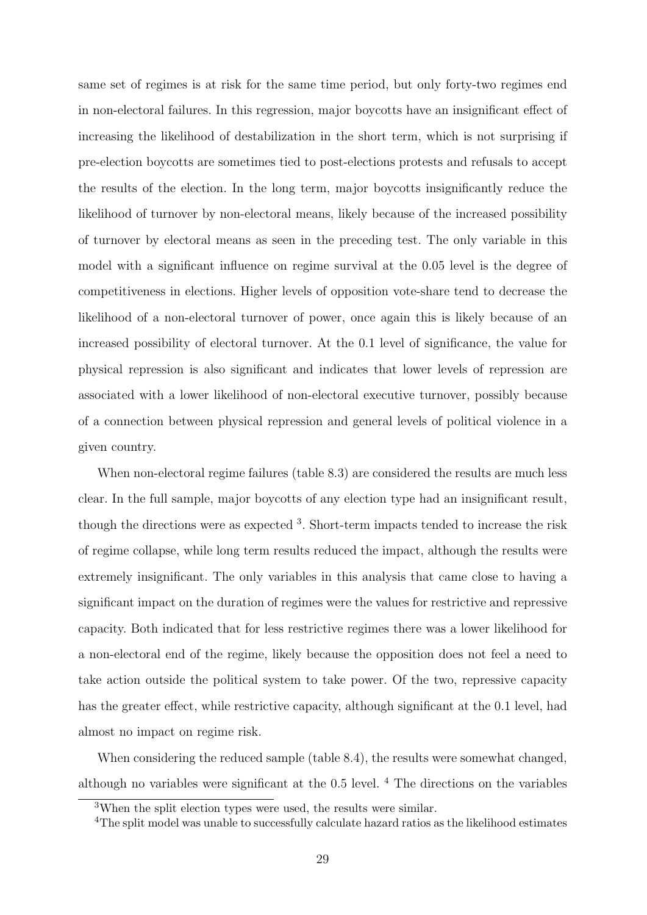same set of regimes is at risk for the same time period, but only forty-two regimes end in non-electoral failures. In this regression, major boycotts have an insignificant effect of increasing the likelihood of destabilization in the short term, which is not surprising if pre-election boycotts are sometimes tied to post-elections protests and refusals to accept the results of the election. In the long term, major boycotts insignificantly reduce the likelihood of turnover by non-electoral means, likely because of the increased possibility of turnover by electoral means as seen in the preceding test. The only variable in this model with a significant influence on regime survival at the 0.05 level is the degree of competitiveness in elections. Higher levels of opposition vote-share tend to decrease the likelihood of a non-electoral turnover of power, once again this is likely because of an increased possibility of electoral turnover. At the 0.1 level of significance, the value for physical repression is also significant and indicates that lower levels of repression are associated with a lower likelihood of non-electoral executive turnover, possibly because of a connection between physical repression and general levels of political violence in a given country.

When non-electoral regime failures (table 8.3) are considered the results are much less clear. In the full sample, major boycotts of any election type had an insignificant result, though the directions were as expected <sup>3</sup>. Short-term impacts tended to increase the risk of regime collapse, while long term results reduced the impact, although the results were extremely insignificant. The only variables in this analysis that came close to having a significant impact on the duration of regimes were the values for restrictive and repressive capacity. Both indicated that for less restrictive regimes there was a lower likelihood for a non-electoral end of the regime, likely because the opposition does not feel a need to take action outside the political system to take power. Of the two, repressive capacity has the greater effect, while restrictive capacity, although significant at the 0.1 level, had almost no impact on regime risk.

When considering the reduced sample (table 8.4), the results were somewhat changed, although no variables were significant at the 0.5 level.  $4$  The directions on the variables

<sup>3</sup>When the split election types were used, the results were similar.

<sup>&</sup>lt;sup>4</sup>The split model was unable to successfully calculate hazard ratios as the likelihood estimates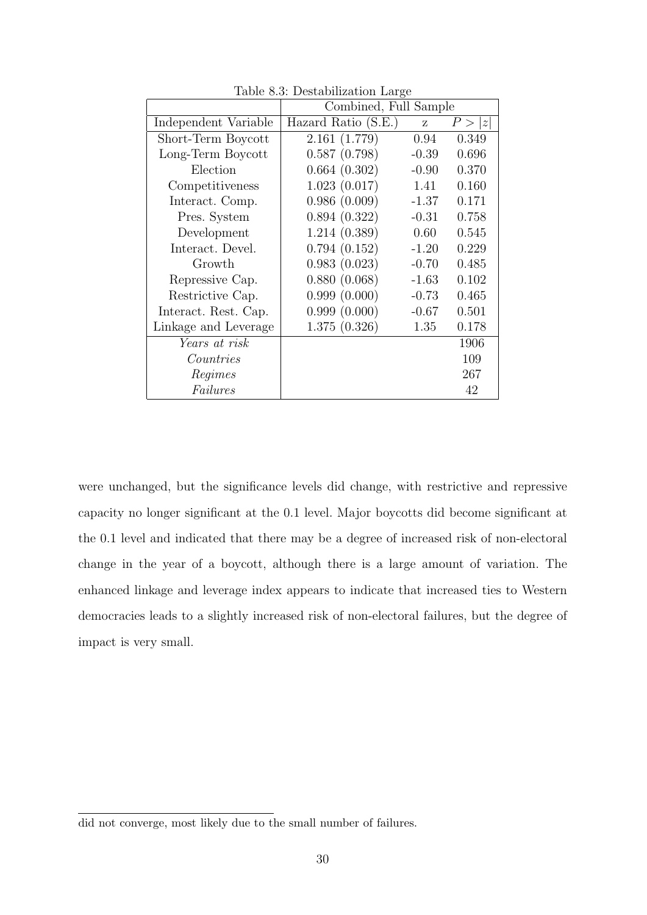|                      | Combined, Full Sample |         |        |
|----------------------|-----------------------|---------|--------|
| Independent Variable | Hazard Ratio (S.E.)   | Z       | P >  z |
| Short-Term Boycott   | 2.161(1.779)          | 0.94    | 0.349  |
| Long-Term Boycott    | 0.587(0.798)          | $-0.39$ | 0.696  |
| Election             | 0.664(0.302)          | $-0.90$ | 0.370  |
| Competitiveness      | 1.023(0.017)          | 1.41    | 0.160  |
| Interact. Comp.      | 0.986(0.009)          | $-1.37$ | 0.171  |
| Pres. System         | 0.894(0.322)          | $-0.31$ | 0.758  |
| Development          | 1.214(0.389)          | 0.60    | 0.545  |
| Interact. Devel.     | 0.794(0.152)          | $-1.20$ | 0.229  |
| Growth               | 0.983(0.023)          | $-0.70$ | 0.485  |
| Repressive Cap.      | 0.880(0.068)          | $-1.63$ | 0.102  |
| Restrictive Cap.     | 0.999(0.000)          | $-0.73$ | 0.465  |
| Interact. Rest. Cap. | 0.999(0.000)          | $-0.67$ | 0.501  |
| Linkage and Leverage | 1.375(0.326)          | 1.35    | 0.178  |
| Years at risk        |                       |         | 1906   |
| Countries            |                       |         | 109    |
| Regimes              |                       |         | 267    |
| Failures             |                       |         | 42     |

Table 8.3: Destabilization Large

were unchanged, but the significance levels did change, with restrictive and repressive capacity no longer significant at the 0.1 level. Major boycotts did become significant at the 0.1 level and indicated that there may be a degree of increased risk of non-electoral change in the year of a boycott, although there is a large amount of variation. The enhanced linkage and leverage index appears to indicate that increased ties to Western democracies leads to a slightly increased risk of non-electoral failures, but the degree of impact is very small.

did not converge, most likely due to the small number of failures.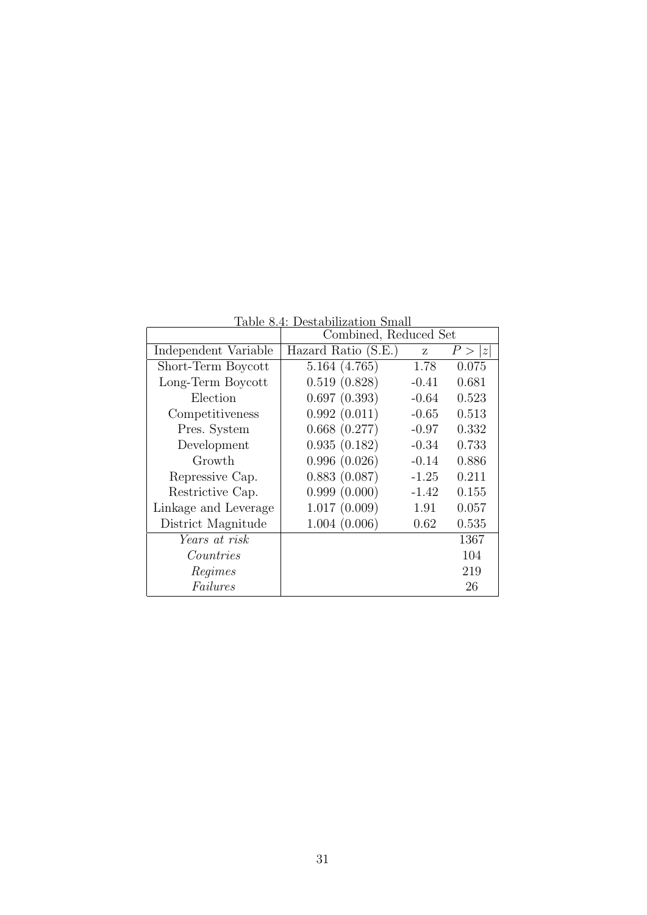| тарк о. т. резваршиватот рики |                       |         |        |  |
|-------------------------------|-----------------------|---------|--------|--|
|                               | Combined, Reduced Set |         |        |  |
| Independent Variable          | Hazard Ratio (S.E.)   | Z       | P >  z |  |
| Short-Term Boycott            | 5.164(4.765)          | 1.78    | 0.075  |  |
| Long-Term Boycott             | 0.519(0.828)          | $-0.41$ | 0.681  |  |
| Election                      | 0.697(0.393)          | $-0.64$ | 0.523  |  |
| Competitiveness               | 0.992(0.011)          | $-0.65$ | 0.513  |  |
| Pres. System                  | 0.668(0.277)          | $-0.97$ | 0.332  |  |
| Development                   | 0.935(0.182)          | $-0.34$ | 0.733  |  |
| Growth                        | 0.996(0.026)          | $-0.14$ | 0.886  |  |
| Repressive Cap.               | 0.883(0.087)          | $-1.25$ | 0.211  |  |
| Restrictive Cap.              | 0.999(0.000)          | $-1.42$ | 0.155  |  |
| Linkage and Leverage          | 1.017(0.009)          | 1.91    | 0.057  |  |
| District Magnitude            | 1.004(0.006)          | 0.62    | 0.535  |  |
| Years at risk                 |                       |         | 1367   |  |
| Countries                     |                       |         | 104    |  |
| Regimes                       |                       |         | 219    |  |
| Failures                      |                       |         | 26     |  |

Table 8.4: Destabilization Small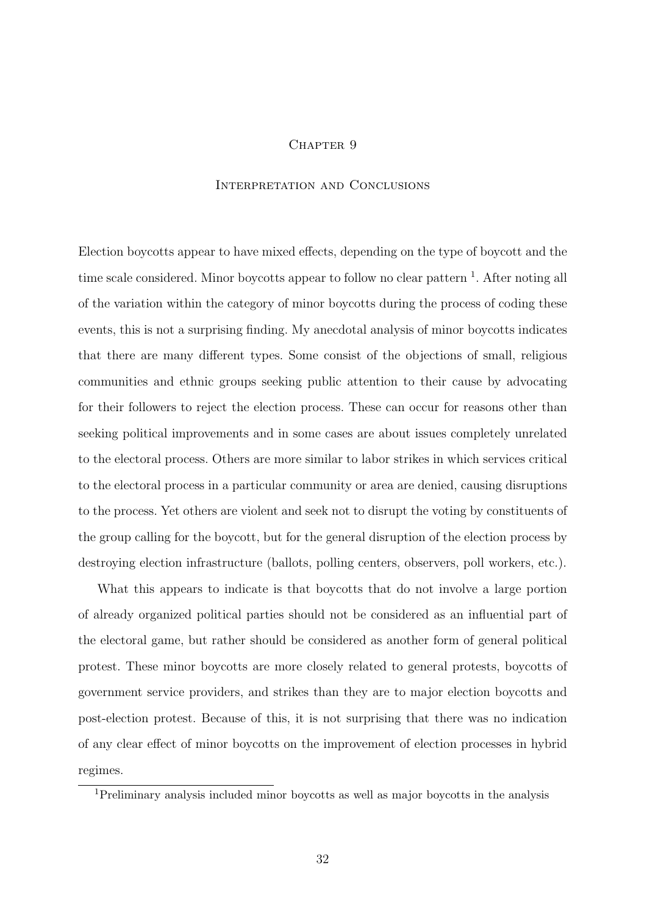## CHAPTER 9

## Interpretation and Conclusions

Election boycotts appear to have mixed effects, depending on the type of boycott and the time scale considered. Minor boycotts appear to follow no clear pattern <sup>1</sup>. After noting all of the variation within the category of minor boycotts during the process of coding these events, this is not a surprising finding. My anecdotal analysis of minor boycotts indicates that there are many different types. Some consist of the objections of small, religious communities and ethnic groups seeking public attention to their cause by advocating for their followers to reject the election process. These can occur for reasons other than seeking political improvements and in some cases are about issues completely unrelated to the electoral process. Others are more similar to labor strikes in which services critical to the electoral process in a particular community or area are denied, causing disruptions to the process. Yet others are violent and seek not to disrupt the voting by constituents of the group calling for the boycott, but for the general disruption of the election process by destroying election infrastructure (ballots, polling centers, observers, poll workers, etc.).

What this appears to indicate is that boycotts that do not involve a large portion of already organized political parties should not be considered as an influential part of the electoral game, but rather should be considered as another form of general political protest. These minor boycotts are more closely related to general protests, boycotts of government service providers, and strikes than they are to major election boycotts and post-election protest. Because of this, it is not surprising that there was no indication of any clear effect of minor boycotts on the improvement of election processes in hybrid regimes.

<sup>1</sup>Preliminary analysis included minor boycotts as well as major boycotts in the analysis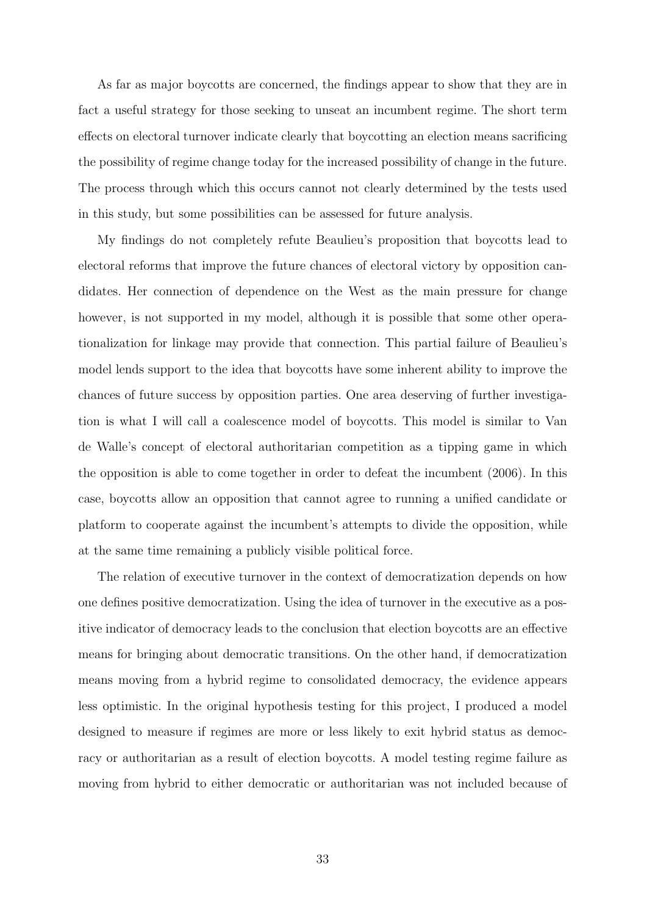As far as major boycotts are concerned, the findings appear to show that they are in fact a useful strategy for those seeking to unseat an incumbent regime. The short term effects on electoral turnover indicate clearly that boycotting an election means sacrificing the possibility of regime change today for the increased possibility of change in the future. The process through which this occurs cannot not clearly determined by the tests used in this study, but some possibilities can be assessed for future analysis.

My findings do not completely refute Beaulieu's proposition that boycotts lead to electoral reforms that improve the future chances of electoral victory by opposition candidates. Her connection of dependence on the West as the main pressure for change however, is not supported in my model, although it is possible that some other operationalization for linkage may provide that connection. This partial failure of Beaulieu's model lends support to the idea that boycotts have some inherent ability to improve the chances of future success by opposition parties. One area deserving of further investigation is what I will call a coalescence model of boycotts. This model is similar to Van de Walle's concept of electoral authoritarian competition as a tipping game in which the opposition is able to come together in order to defeat the incumbent (2006). In this case, boycotts allow an opposition that cannot agree to running a unified candidate or platform to cooperate against the incumbent's attempts to divide the opposition, while at the same time remaining a publicly visible political force.

The relation of executive turnover in the context of democratization depends on how one defines positive democratization. Using the idea of turnover in the executive as a positive indicator of democracy leads to the conclusion that election boycotts are an effective means for bringing about democratic transitions. On the other hand, if democratization means moving from a hybrid regime to consolidated democracy, the evidence appears less optimistic. In the original hypothesis testing for this project, I produced a model designed to measure if regimes are more or less likely to exit hybrid status as democracy or authoritarian as a result of election boycotts. A model testing regime failure as moving from hybrid to either democratic or authoritarian was not included because of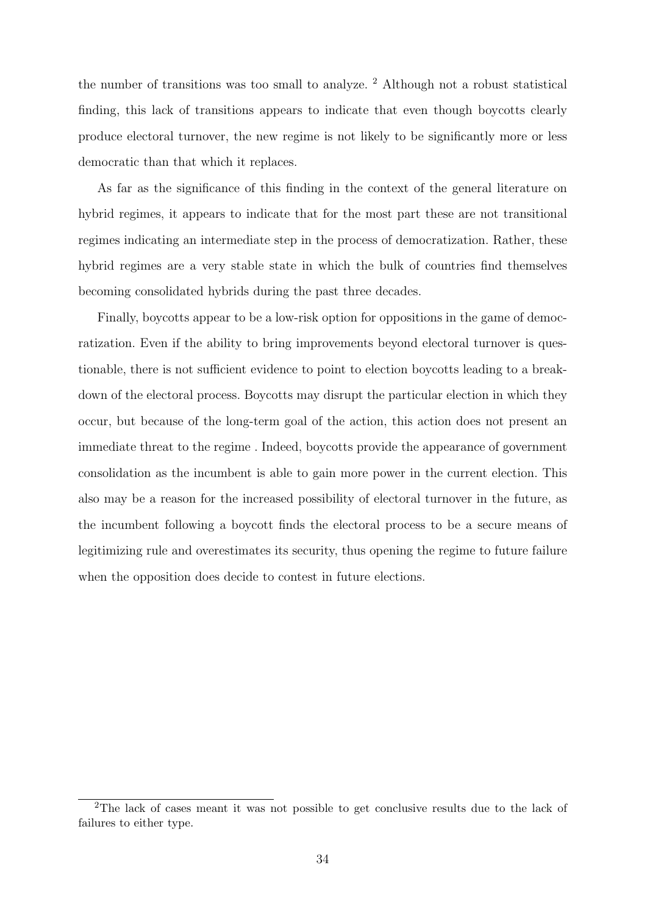the number of transitions was too small to analyze. <sup>2</sup> Although not a robust statistical finding, this lack of transitions appears to indicate that even though boycotts clearly produce electoral turnover, the new regime is not likely to be significantly more or less democratic than that which it replaces.

As far as the significance of this finding in the context of the general literature on hybrid regimes, it appears to indicate that for the most part these are not transitional regimes indicating an intermediate step in the process of democratization. Rather, these hybrid regimes are a very stable state in which the bulk of countries find themselves becoming consolidated hybrids during the past three decades.

Finally, boycotts appear to be a low-risk option for oppositions in the game of democratization. Even if the ability to bring improvements beyond electoral turnover is questionable, there is not sufficient evidence to point to election boycotts leading to a breakdown of the electoral process. Boycotts may disrupt the particular election in which they occur, but because of the long-term goal of the action, this action does not present an immediate threat to the regime . Indeed, boycotts provide the appearance of government consolidation as the incumbent is able to gain more power in the current election. This also may be a reason for the increased possibility of electoral turnover in the future, as the incumbent following a boycott finds the electoral process to be a secure means of legitimizing rule and overestimates its security, thus opening the regime to future failure when the opposition does decide to contest in future elections.

<sup>2</sup>The lack of cases meant it was not possible to get conclusive results due to the lack of failures to either type.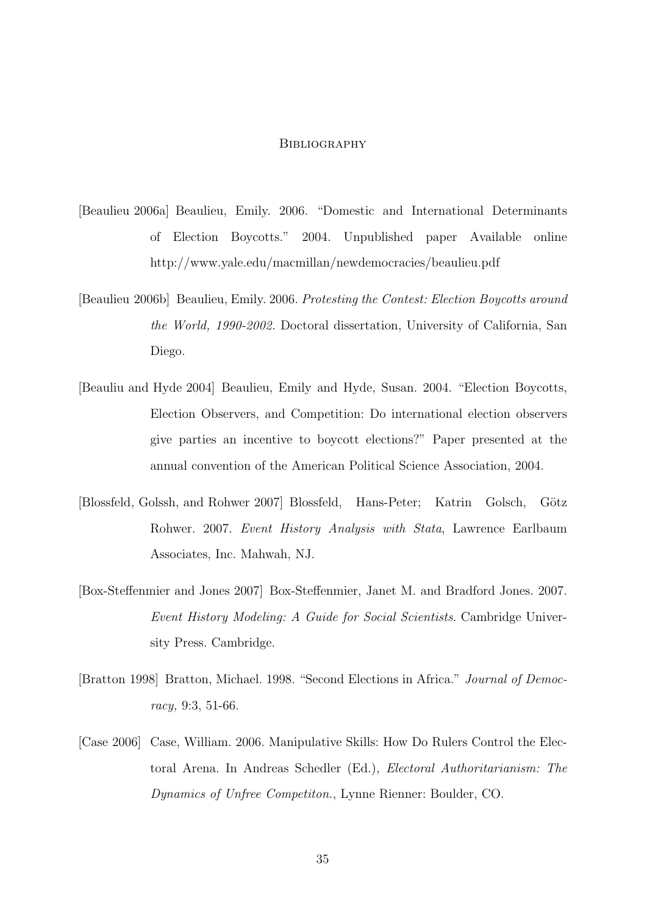#### **BIBLIOGRAPHY**

- [Beaulieu 2006a] Beaulieu, Emily. 2006. "Domestic and International Determinants of Election Boycotts." 2004. Unpublished paper Available online http://www.yale.edu/macmillan/newdemocracies/beaulieu.pdf
- [Beaulieu 2006b] Beaulieu, Emily. 2006. Protesting the Contest: Election Boycotts around the World, 1990-2002. Doctoral dissertation, University of California, San Diego.
- [Beauliu and Hyde 2004] Beaulieu, Emily and Hyde, Susan. 2004. "Election Boycotts, Election Observers, and Competition: Do international election observers give parties an incentive to boycott elections?" Paper presented at the annual convention of the American Political Science Association, 2004.
- [Blossfeld, Golssh, and Rohwer 2007] Blossfeld, Hans-Peter; Katrin Golsch, Götz Rohwer. 2007. Event History Analysis with Stata, Lawrence Earlbaum Associates, Inc. Mahwah, NJ.
- [Box-Steffenmier and Jones 2007] Box-Steffenmier, Janet M. and Bradford Jones. 2007. Event History Modeling: A Guide for Social Scientists. Cambridge University Press. Cambridge.
- [Bratton 1998] Bratton, Michael. 1998. "Second Elections in Africa." Journal of Democracy, 9:3, 51-66.
- [Case 2006] Case, William. 2006. Manipulative Skills: How Do Rulers Control the Electoral Arena. In Andreas Schedler (Ed.), Electoral Authoritarianism: The Dynamics of Unfree Competiton., Lynne Rienner: Boulder, CO.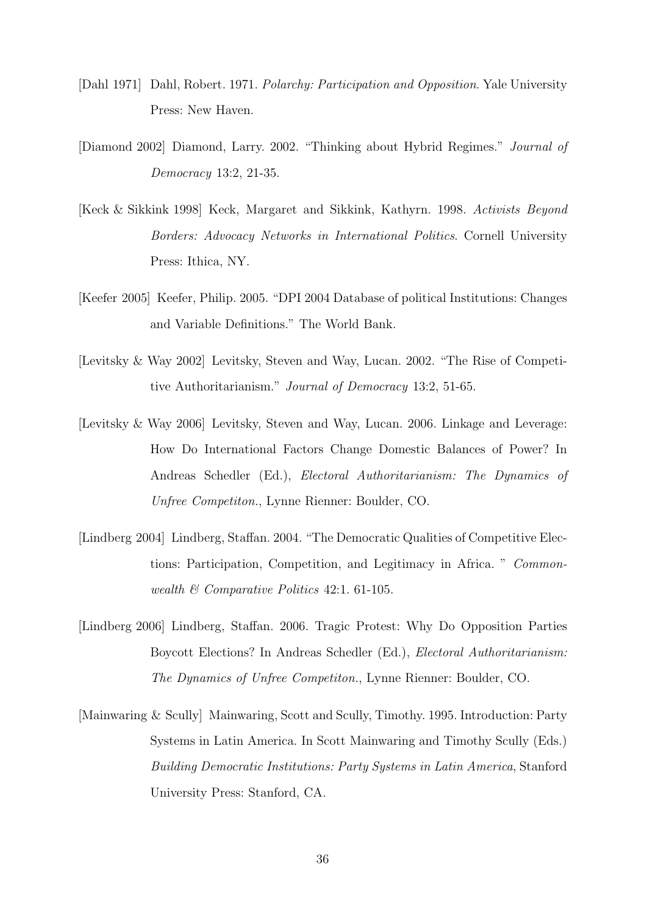- [Dahl 1971] Dahl, Robert. 1971. Polarchy: Participation and Opposition. Yale University Press: New Haven.
- [Diamond 2002] Diamond, Larry. 2002. "Thinking about Hybrid Regimes." Journal of Democracy 13:2, 21-35.
- [Keck & Sikkink 1998] Keck, Margaret and Sikkink, Kathyrn. 1998. Activists Beyond Borders: Advocacy Networks in International Politics. Cornell University Press: Ithica, NY.
- [Keefer 2005] Keefer, Philip. 2005. "DPI 2004 Database of political Institutions: Changes and Variable Definitions." The World Bank.
- [Levitsky & Way 2002] Levitsky, Steven and Way, Lucan. 2002. "The Rise of Competitive Authoritarianism." Journal of Democracy 13:2, 51-65.
- [Levitsky & Way 2006] Levitsky, Steven and Way, Lucan. 2006. Linkage and Leverage: How Do International Factors Change Domestic Balances of Power? In Andreas Schedler (Ed.), Electoral Authoritarianism: The Dynamics of Unfree Competiton., Lynne Rienner: Boulder, CO.
- [Lindberg 2004] Lindberg, Staffan. 2004. "The Democratic Qualities of Competitive Elections: Participation, Competition, and Legitimacy in Africa. " Commonwealth & Comparative Politics 42:1. 61-105.
- [Lindberg 2006] Lindberg, Staffan. 2006. Tragic Protest: Why Do Opposition Parties Boycott Elections? In Andreas Schedler (Ed.), Electoral Authoritarianism: The Dynamics of Unfree Competiton., Lynne Rienner: Boulder, CO.
- [Mainwaring & Scully] Mainwaring, Scott and Scully, Timothy. 1995. Introduction: Party Systems in Latin America. In Scott Mainwaring and Timothy Scully (Eds.) Building Democratic Institutions: Party Systems in Latin America, Stanford University Press: Stanford, CA.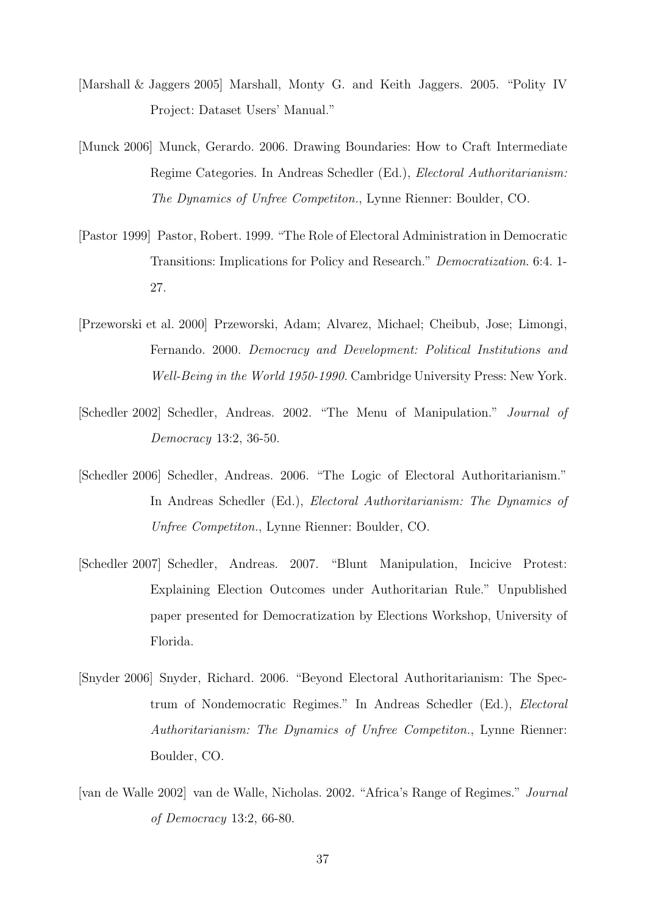- [Marshall & Jaggers 2005] Marshall, Monty G. and Keith Jaggers. 2005. "Polity IV Project: Dataset Users' Manual."
- [Munck 2006] Munck, Gerardo. 2006. Drawing Boundaries: How to Craft Intermediate Regime Categories. In Andreas Schedler (Ed.), Electoral Authoritarianism: The Dynamics of Unfree Competiton., Lynne Rienner: Boulder, CO.
- [Pastor 1999] Pastor, Robert. 1999. "The Role of Electoral Administration in Democratic Transitions: Implications for Policy and Research." Democratization. 6:4. 1- 27.
- [Przeworski et al. 2000] Przeworski, Adam; Alvarez, Michael; Cheibub, Jose; Limongi, Fernando. 2000. Democracy and Development: Political Institutions and Well-Being in the World 1950-1990. Cambridge University Press: New York.
- [Schedler 2002] Schedler, Andreas. 2002. "The Menu of Manipulation." Journal of Democracy 13:2, 36-50.
- [Schedler 2006] Schedler, Andreas. 2006. "The Logic of Electoral Authoritarianism." In Andreas Schedler (Ed.), Electoral Authoritarianism: The Dynamics of Unfree Competiton., Lynne Rienner: Boulder, CO.
- [Schedler 2007] Schedler, Andreas. 2007. "Blunt Manipulation, Incicive Protest: Explaining Election Outcomes under Authoritarian Rule." Unpublished paper presented for Democratization by Elections Workshop, University of Florida.
- [Snyder 2006] Snyder, Richard. 2006. "Beyond Electoral Authoritarianism: The Spectrum of Nondemocratic Regimes." In Andreas Schedler (Ed.), Electoral Authoritarianism: The Dynamics of Unfree Competiton., Lynne Rienner: Boulder, CO.
- [van de Walle 2002] van de Walle, Nicholas. 2002. "Africa's Range of Regimes." Journal of Democracy 13:2, 66-80.